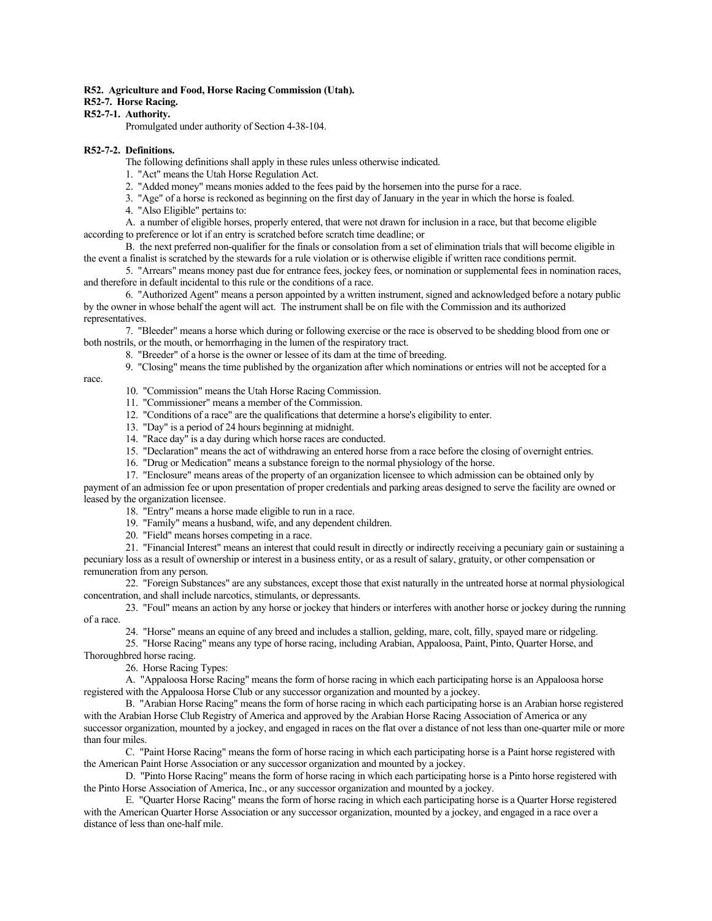### **R52. Agriculture and Food, Horse Racing Commission (Utah).**

# **R52-7. Horse Racing.**

# **R52-7-1. Authority.**

Promulgated under authority of Section 4-38-104.

### **R52-7-2. Definitions.**

The following definitions shall apply in these rules unless otherwise indicated.

1. "Act" means the Utah Horse Regulation Act.

2. "Added money" means monies added to the fees paid by the horsemen into the purse for a race.

3. "Age" of a horse is reckoned as beginning on the first day of January in the year in which the horse is foaled.

4. "Also Eligible" pertains to:

A. a number of eligible horses, properly entered, that were not drawn for inclusion in a race, but that become eligible according to preference or lot if an entry is scratched before scratch time deadline; or

B. the next preferred non-qualifier for the finals or consolation from a set of elimination trials that will become eligible in the event a finalist is scratched by the stewards for a rule violation or is otherwise eligible if written race conditions permit.

5. "Arrears" means money past due for entrance fees, jockey fees, or nomination or supplemental fees in nomination races, and therefore in default incidental to this rule or the conditions of a race.

6. "Authorized Agent" means a person appointed by a written instrument, signed and acknowledged before a notary public by the owner in whose behalf the agent will act. The instrument shall be on file with the Commission and its authorized representatives.

7. "Bleeder" means a horse which during or following exercise or the race is observed to be shedding blood from one or both nostrils, or the mouth, or hemorrhaging in the lumen of the respiratory tract.

8. "Breeder" of a horse is the owner or lessee of its dam at the time of breeding.

9. "Closing" means the time published by the organization after which nominations or entries will not be accepted for a

race.

10. "Commission" means the Utah Horse Racing Commission.

- 11. "Commissioner" means a member of the Commission.
- 12. "Conditions of a race" are the qualifications that determine a horse's eligibility to enter.
- 13. "Day" is a period of 24 hours beginning at midnight.
- 14. "Race day" is a day during which horse races are conducted.
- 15. "Declaration" means the act of withdrawing an entered horse from a race before the closing of overnight entries.
- 16. "Drug or Medication" means a substance foreign to the normal physiology of the horse.

17. "Enclosure" means areas of the property of an organization licensee to which admission can be obtained only by

payment of an admission fee or upon presentation of proper credentials and parking areas designed to serve the facility are owned or leased by the organization licensee.

- 18. "Entry" means a horse made eligible to run in a race.
- 19. "Family" means a husband, wife, and any dependent children.

20. "Field" means horses competing in a race.

21. "Financial Interest" means an interest that could result in directly or indirectly receiving a pecuniary gain or sustaining a pecuniary loss as a result of ownership or interest in a business entity, or as a result of salary, gratuity, or other compensation or remuneration from any person.

22. "Foreign Substances" are any substances, except those that exist naturally in the untreated horse at normal physiological concentration, and shall include narcotics, stimulants, or depressants.

23. "Foul" means an action by any horse or jockey that hinders or interferes with another horse or jockey during the running of a race.

24. "Horse" means an equine of any breed and includes a stallion, gelding, mare, colt, filly, spayed mare or ridgeling.

25. "Horse Racing" means any type of horse racing, including Arabian, Appaloosa, Paint, Pinto, Quarter Horse, and

Thoroughbred horse racing.

26. Horse Racing Types:

A. "Appaloosa Horse Racing" means the form of horse racing in which each participating horse is an Appaloosa horse registered with the Appaloosa Horse Club or any successor organization and mounted by a jockey.

B. "Arabian Horse Racing" means the form of horse racing in which each participating horse is an Arabian horse registered with the Arabian Horse Club Registry of America and approved by the Arabian Horse Racing Association of America or any successor organization, mounted by a jockey, and engaged in races on the flat over a distance of not less than one-quarter mile or more than four miles.

C. "Paint Horse Racing" means the form of horse racing in which each participating horse is a Paint horse registered with the American Paint Horse Association or any successor organization and mounted by a jockey.

D. "Pinto Horse Racing" means the form of horse racing in which each participating horse is a Pinto horse registered with the Pinto Horse Association of America, Inc., or any successor organization and mounted by a jockey.

E. "Quarter Horse Racing" means the form of horse racing in which each participating horse is a Quarter Horse registered with the American Quarter Horse Association or any successor organization, mounted by a jockey, and engaged in a race over a distance of less than one-half mile.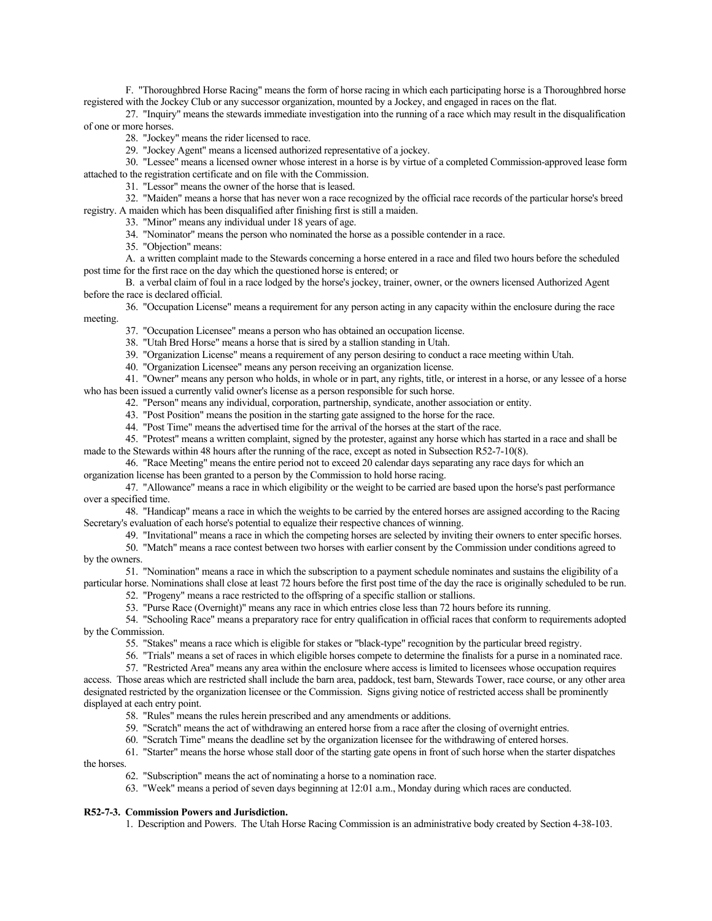F. "Thoroughbred Horse Racing" means the form of horse racing in which each participating horse is a Thoroughbred horse registered with the Jockey Club or any successor organization, mounted by a Jockey, and engaged in races on the flat.

27. "Inquiry" means the stewards immediate investigation into the running of a race which may result in the disqualification of one or more horses.

28. "Jockey" means the rider licensed to race.

29. "Jockey Agent" means a licensed authorized representative of a jockey.

30. "Lessee" means a licensed owner whose interest in a horse is by virtue of a completed Commission-approved lease form attached to the registration certificate and on file with the Commission.

31. "Lessor" means the owner of the horse that is leased.

32. "Maiden" means a horse that has never won a race recognized by the official race records of the particular horse's breed registry. A maiden which has been disqualified after finishing first is still a maiden.

33. "Minor" means any individual under 18 years of age.

34. "Nominator" means the person who nominated the horse as a possible contender in a race.

35. "Objection" means:

A. a written complaint made to the Stewards concerning a horse entered in a race and filed two hours before the scheduled post time for the first race on the day which the questioned horse is entered; or

B. a verbal claim of foul in a race lodged by the horse's jockey, trainer, owner, or the owners licensed Authorized Agent before the race is declared official.

36. "Occupation License" means a requirement for any person acting in any capacity within the enclosure during the race meeting.

37. "Occupation Licensee" means a person who has obtained an occupation license.

38. "Utah Bred Horse" means a horse that is sired by a stallion standing in Utah.

39. "Organization License" means a requirement of any person desiring to conduct a race meeting within Utah.

40. "Organization Licensee" means any person receiving an organization license.

41. "Owner" means any person who holds, in whole or in part, any rights, title, or interest in a horse, or any lessee of a horse who has been issued a currently valid owner's license as a person responsible for such horse.

42. "Person" means any individual, corporation, partnership, syndicate, another association or entity.

43. "Post Position" means the position in the starting gate assigned to the horse for the race.

44. "Post Time" means the advertised time for the arrival of the horses at the start of the race.

45. "Protest" means a written complaint, signed by the protester, against any horse which has started in a race and shall be made to the Stewards within 48 hours after the running of the race, except as noted in Subsection R52-7-10(8).

46. "Race Meeting" means the entire period not to exceed 20 calendar days separating any race days for which an organization license has been granted to a person by the Commission to hold horse racing.

47. "Allowance" means a race in which eligibility or the weight to be carried are based upon the horse's past performance over a specified time.

48. "Handicap" means a race in which the weights to be carried by the entered horses are assigned according to the Racing Secretary's evaluation of each horse's potential to equalize their respective chances of winning.

49. "Invitational" means a race in which the competing horses are selected by inviting their owners to enter specific horses.

50. "Match" means a race contest between two horses with earlier consent by the Commission under conditions agreed to by the owners.

51. "Nomination" means a race in which the subscription to a payment schedule nominates and sustains the eligibility of a particular horse. Nominations shall close at least 72 hours before the first post time of the day the race is originally scheduled to be run.

52. "Progeny" means a race restricted to the offspring of a specific stallion or stallions.

53. "Purse Race (Overnight)" means any race in which entries close less than 72 hours before its running.

54. "Schooling Race" means a preparatory race for entry qualification in official races that conform to requirements adopted by the Commission.

55. "Stakes" means a race which is eligible for stakes or "black-type" recognition by the particular breed registry.

56. "Trials" means a set of races in which eligible horses compete to determine the finalists for a purse in a nominated race.

57. "Restricted Area" means any area within the enclosure where access is limited to licensees whose occupation requires

access. Those areas which are restricted shall include the barn area, paddock, test barn, Stewards Tower, race course, or any other area designated restricted by the organization licensee or the Commission. Signs giving notice of restricted access shall be prominently displayed at each entry point.

58. "Rules" means the rules herein prescribed and any amendments or additions.

59. "Scratch" means the act of withdrawing an entered horse from a race after the closing of overnight entries.

60. "Scratch Time" means the deadline set by the organization licensee for the withdrawing of entered horses.

61. "Starter" means the horse whose stall door of the starting gate opens in front of such horse when the starter dispatches

the horses.

62. "Subscription" means the act of nominating a horse to a nomination race.

63. "Week" means a period of seven days beginning at 12:01 a.m., Monday during which races are conducted.

# **R52-7-3. Commission Powers and Jurisdiction.**

1. Description and Powers. The Utah Horse Racing Commission is an administrative body created by Section 4-38-103.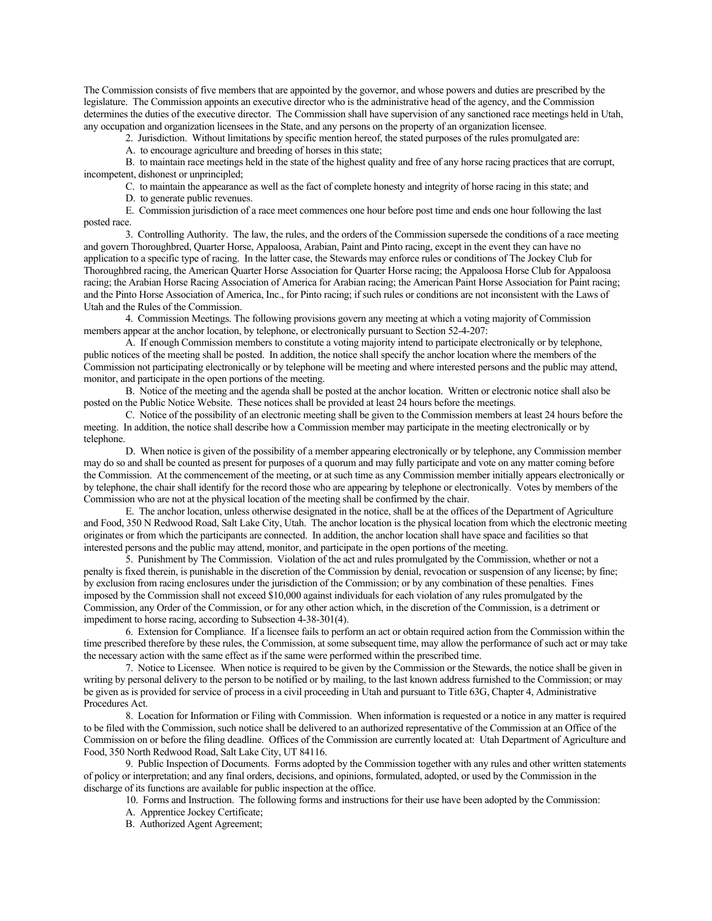The Commission consists of five members that are appointed by the governor, and whose powers and duties are prescribed by the legislature. The Commission appoints an executive director who is the administrative head of the agency, and the Commission determines the duties of the executive director. The Commission shall have supervision of any sanctioned race meetings held in Utah, any occupation and organization licensees in the State, and any persons on the property of an organization licensee.

2. Jurisdiction. Without limitations by specific mention hereof, the stated purposes of the rules promulgated are:

A. to encourage agriculture and breeding of horses in this state;

B. to maintain race meetings held in the state of the highest quality and free of any horse racing practices that are corrupt, incompetent, dishonest or unprincipled;

C. to maintain the appearance as well as the fact of complete honesty and integrity of horse racing in this state; and

D. to generate public revenues.

E. Commission jurisdiction of a race meet commences one hour before post time and ends one hour following the last posted race.

3. Controlling Authority. The law, the rules, and the orders of the Commission supersede the conditions of a race meeting and govern Thoroughbred, Quarter Horse, Appaloosa, Arabian, Paint and Pinto racing, except in the event they can have no application to a specific type of racing. In the latter case, the Stewards may enforce rules or conditions of The Jockey Club for Thoroughbred racing, the American Quarter Horse Association for Quarter Horse racing; the Appaloosa Horse Club for Appaloosa racing; the Arabian Horse Racing Association of America for Arabian racing; the American Paint Horse Association for Paint racing; and the Pinto Horse Association of America, Inc., for Pinto racing; if such rules or conditions are not inconsistent with the Laws of Utah and the Rules of the Commission.

4. Commission Meetings. The following provisions govern any meeting at which a voting majority of Commission members appear at the anchor location, by telephone, or electronically pursuant to Section 52-4-207:

A. If enough Commission members to constitute a voting majority intend to participate electronically or by telephone, public notices of the meeting shall be posted. In addition, the notice shall specify the anchor location where the members of the Commission not participating electronically or by telephone will be meeting and where interested persons and the public may attend, monitor, and participate in the open portions of the meeting.

B. Notice of the meeting and the agenda shall be posted at the anchor location. Written or electronic notice shall also be posted on the Public Notice Website. These notices shall be provided at least 24 hours before the meetings.

C. Notice of the possibility of an electronic meeting shall be given to the Commission members at least 24 hours before the meeting. In addition, the notice shall describe how a Commission member may participate in the meeting electronically or by telephone.

D. When notice is given of the possibility of a member appearing electronically or by telephone, any Commission member may do so and shall be counted as present for purposes of a quorum and may fully participate and vote on any matter coming before the Commission. At the commencement of the meeting, or at such time as any Commission member initially appears electronically or by telephone, the chair shall identify for the record those who are appearing by telephone or electronically. Votes by members of the Commission who are not at the physical location of the meeting shall be confirmed by the chair.

E. The anchor location, unless otherwise designated in the notice, shall be at the offices of the Department of Agriculture and Food, 350 N Redwood Road, Salt Lake City, Utah. The anchor location is the physical location from which the electronic meeting originates or from which the participants are connected. In addition, the anchor location shall have space and facilities so that interested persons and the public may attend, monitor, and participate in the open portions of the meeting.

5. Punishment by The Commission. Violation of the act and rules promulgated by the Commission, whether or not a penalty is fixed therein, is punishable in the discretion of the Commission by denial, revocation or suspension of any license; by fine; by exclusion from racing enclosures under the jurisdiction of the Commission; or by any combination of these penalties. Fines imposed by the Commission shall not exceed \$10,000 against individuals for each violation of any rules promulgated by the Commission, any Order of the Commission, or for any other action which, in the discretion of the Commission, is a detriment or impediment to horse racing, according to Subsection 4-38-301(4).

6. Extension for Compliance. If a licensee fails to perform an act or obtain required action from the Commission within the time prescribed therefore by these rules, the Commission, at some subsequent time, may allow the performance of such act or may take the necessary action with the same effect as if the same were performed within the prescribed time.

7. Notice to Licensee. When notice is required to be given by the Commission or the Stewards, the notice shall be given in writing by personal delivery to the person to be notified or by mailing, to the last known address furnished to the Commission; or may be given as is provided for service of process in a civil proceeding in Utah and pursuant to Title 63G, Chapter 4, Administrative Procedures Act.

8. Location for Information or Filing with Commission. When information is requested or a notice in any matter is required to be filed with the Commission, such notice shall be delivered to an authorized representative of the Commission at an Office of the Commission on or before the filing deadline. Offices of the Commission are currently located at: Utah Department of Agriculture and Food, 350 North Redwood Road, Salt Lake City, UT 84116.

9. Public Inspection of Documents. Forms adopted by the Commission together with any rules and other written statements of policy or interpretation; and any final orders, decisions, and opinions, formulated, adopted, or used by the Commission in the discharge of its functions are available for public inspection at the office.

10. Forms and Instruction. The following forms and instructions for their use have been adopted by the Commission:

A. Apprentice Jockey Certificate;

B. Authorized Agent Agreement;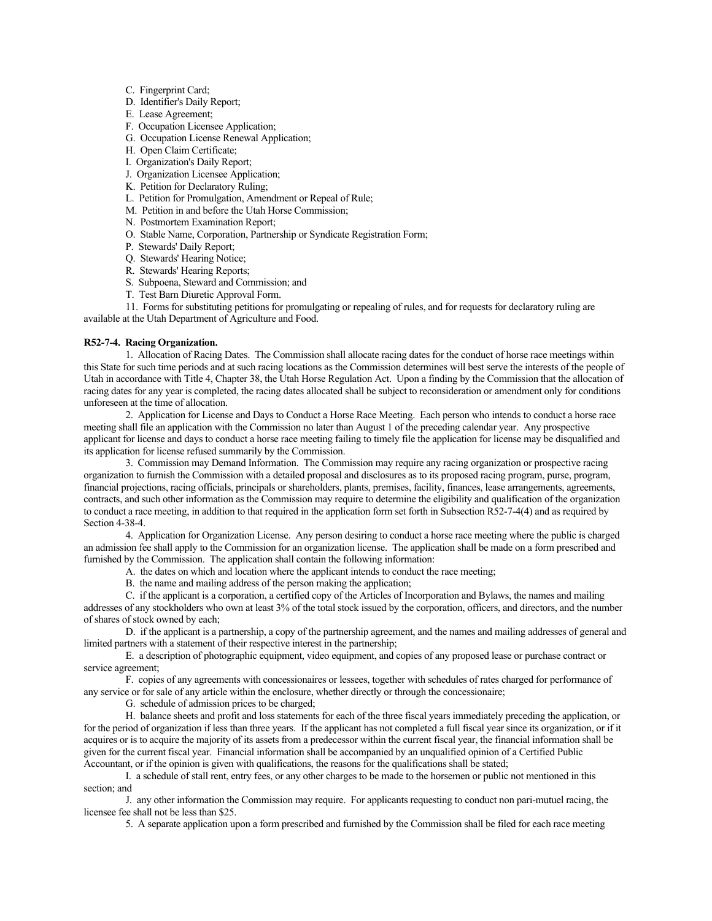- C. Fingerprint Card;
- D. Identifier's Daily Report;
- E. Lease Agreement;
- F. Occupation Licensee Application;
- G. Occupation License Renewal Application;
- H. Open Claim Certificate;
- I. Organization's Daily Report;
- J. Organization Licensee Application;
- K. Petition for Declaratory Ruling;
- L. Petition for Promulgation, Amendment or Repeal of Rule;
- M. Petition in and before the Utah Horse Commission;
- N. Postmortem Examination Report;
- O. Stable Name, Corporation, Partnership or Syndicate Registration Form;
- P. Stewards' Daily Report;
- Q. Stewards' Hearing Notice;
- R. Stewards' Hearing Reports;
- S. Subpoena, Steward and Commission; and
- T. Test Barn Diuretic Approval Form.

11. Forms for substituting petitions for promulgating or repealing of rules, and for requests for declaratory ruling are available at the Utah Department of Agriculture and Food.

### **R52-7-4. Racing Organization.**

1. Allocation of Racing Dates. The Commission shall allocate racing dates for the conduct of horse race meetings within this State for such time periods and at such racing locations as the Commission determines will best serve the interests of the people of Utah in accordance with Title 4, Chapter 38, the Utah Horse Regulation Act. Upon a finding by the Commission that the allocation of racing dates for any year is completed, the racing dates allocated shall be subject to reconsideration or amendment only for conditions unforeseen at the time of allocation.

2. Application for License and Days to Conduct a Horse Race Meeting. Each person who intends to conduct a horse race meeting shall file an application with the Commission no later than August 1 of the preceding calendar year. Any prospective applicant for license and days to conduct a horse race meeting failing to timely file the application for license may be disqualified and its application for license refused summarily by the Commission.

3. Commission may Demand Information. The Commission may require any racing organization or prospective racing organization to furnish the Commission with a detailed proposal and disclosures as to its proposed racing program, purse, program, financial projections, racing officials, principals or shareholders, plants, premises, facility, finances, lease arrangements, agreements, contracts, and such other information as the Commission may require to determine the eligibility and qualification of the organization to conduct a race meeting, in addition to that required in the application form set forth in Subsection R52-7-4(4) and as required by Section 4-38-4.

4. Application for Organization License. Any person desiring to conduct a horse race meeting where the public is charged an admission fee shall apply to the Commission for an organization license. The application shall be made on a form prescribed and furnished by the Commission. The application shall contain the following information:

- A. the dates on which and location where the applicant intends to conduct the race meeting;
	- B. the name and mailing address of the person making the application;

C. if the applicant is a corporation, a certified copy of the Articles of Incorporation and Bylaws, the names and mailing addresses of any stockholders who own at least 3% of the total stock issued by the corporation, officers, and directors, and the number of shares of stock owned by each;

D. if the applicant is a partnership, a copy of the partnership agreement, and the names and mailing addresses of general and limited partners with a statement of their respective interest in the partnership;

E. a description of photographic equipment, video equipment, and copies of any proposed lease or purchase contract or service agreement;

F. copies of any agreements with concessionaires or lessees, together with schedules of rates charged for performance of any service or for sale of any article within the enclosure, whether directly or through the concessionaire;

G. schedule of admission prices to be charged;

H. balance sheets and profit and loss statements for each of the three fiscal years immediately preceding the application, or for the period of organization if less than three years. If the applicant has not completed a full fiscal year since its organization, or if it acquires or is to acquire the majority of its assets from a predecessor within the current fiscal year, the financial information shall be given for the current fiscal year. Financial information shall be accompanied by an unqualified opinion of a Certified Public Accountant, or if the opinion is given with qualifications, the reasons for the qualifications shall be stated;

I. a schedule of stall rent, entry fees, or any other charges to be made to the horsemen or public not mentioned in this section; and

J. any other information the Commission may require. For applicants requesting to conduct non pari-mutuel racing, the licensee fee shall not be less than \$25.

5. A separate application upon a form prescribed and furnished by the Commission shall be filed for each race meeting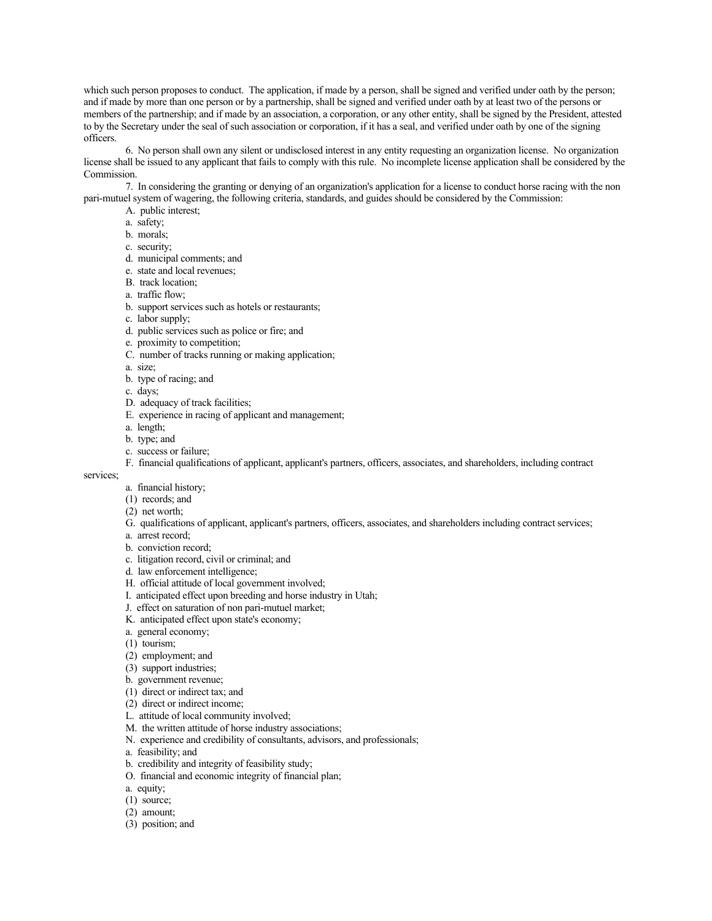which such person proposes to conduct. The application, if made by a person, shall be signed and verified under oath by the person; and if made by more than one person or by a partnership, shall be signed and verified under oath by at least two of the persons or members of the partnership; and if made by an association, a corporation, or any other entity, shall be signed by the President, attested to by the Secretary under the seal of such association or corporation, if it has a seal, and verified under oath by one of the signing officers.

6. No person shall own any silent or undisclosed interest in any entity requesting an organization license. No organization license shall be issued to any applicant that fails to comply with this rule. No incomplete license application shall be considered by the Commission.

7. In considering the granting or denying of an organization's application for a license to conduct horse racing with the non pari-mutuel system of wagering, the following criteria, standards, and guides should be considered by the Commission:

- A. public interest;
- a. safety;
- b. morals;
- c. security;
- d. municipal comments; and
- e. state and local revenues;
- B. track location;
- a. traffic flow;
- b. support services such as hotels or restaurants;
- c. labor supply;
- d. public services such as police or fire; and
- e. proximity to competition;
- C. number of tracks running or making application;
- a. size;
- b. type of racing; and
- c. days;
- D. adequacy of track facilities;
- E. experience in racing of applicant and management;
- a. length;
- b. type; and
- c. success or failure;
- F. financial qualifications of applicant, applicant's partners, officers, associates, and shareholders, including contract

#### services;

- a. financial history;
- (1) records; and
- (2) net worth;
- G. qualifications of applicant, applicant's partners, officers, associates, and shareholders including contract services;
- a. arrest record;
- b. conviction record;
- c. litigation record, civil or criminal; and
- d. law enforcement intelligence;
- H. official attitude of local government involved;
- I. anticipated effect upon breeding and horse industry in Utah;
- J. effect on saturation of non pari-mutuel market;
- K. anticipated effect upon state's economy;
- a. general economy;
- (1) tourism;
- (2) employment; and
- (3) support industries;
- b. government revenue;
- (1) direct or indirect tax; and
- (2) direct or indirect income;
- L. attitude of local community involved;
- M. the written attitude of horse industry associations;
- N. experience and credibility of consultants, advisors, and professionals;
- a. feasibility; and
- b. credibility and integrity of feasibility study;
- O. financial and economic integrity of financial plan;
- a. equity;
- (1) source;
- (2) amount;
- (3) position; and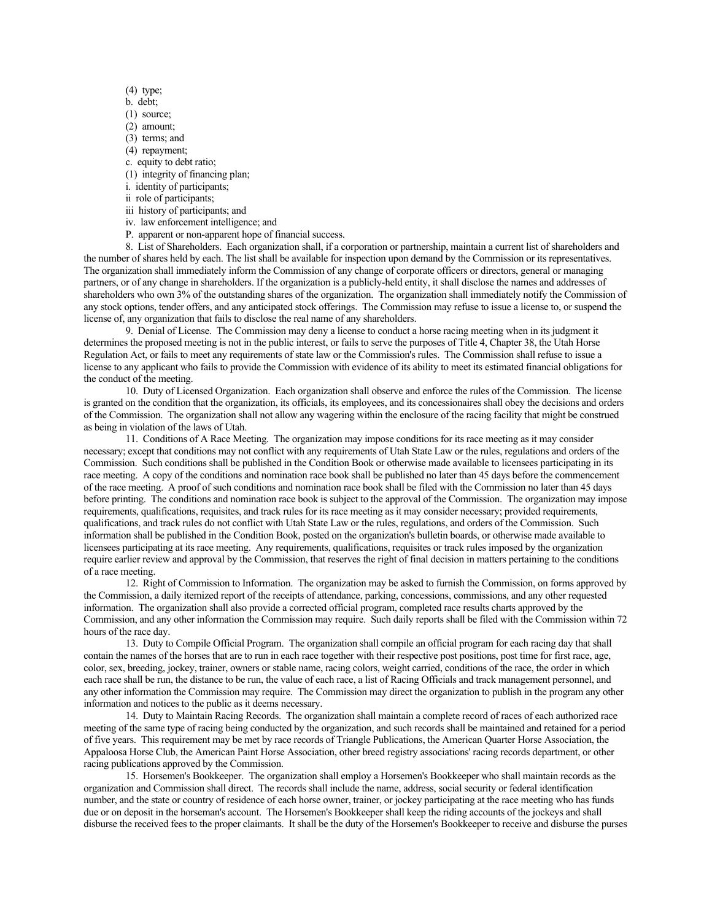- (4) type;
- b. debt;
- (1) source;
- (2) amount;
- (3) terms; and
- (4) repayment; c. equity to debt ratio;
- 
- (1) integrity of financing plan;
- i. identity of participants; ii role of participants;
- iii history of participants; and
- iv. law enforcement intelligence; and
- 
- P. apparent or non-apparent hope of financial success.

8. List of Shareholders. Each organization shall, if a corporation or partnership, maintain a current list of shareholders and the number of shares held by each. The list shall be available for inspection upon demand by the Commission or its representatives. The organization shall immediately inform the Commission of any change of corporate officers or directors, general or managing partners, or of any change in shareholders. If the organization is a publicly-held entity, it shall disclose the names and addresses of shareholders who own 3% of the outstanding shares of the organization. The organization shall immediately notify the Commission of any stock options, tender offers, and any anticipated stock offerings. The Commission may refuse to issue a license to, or suspend the license of, any organization that fails to disclose the real name of any shareholders.

9. Denial of License. The Commission may deny a license to conduct a horse racing meeting when in its judgment it determines the proposed meeting is not in the public interest, or fails to serve the purposes of Title 4, Chapter 38, the Utah Horse Regulation Act, or fails to meet any requirements of state law or the Commission's rules. The Commission shall refuse to issue a license to any applicant who fails to provide the Commission with evidence of its ability to meet its estimated financial obligations for the conduct of the meeting.

10. Duty of Licensed Organization. Each organization shall observe and enforce the rules of the Commission. The license is granted on the condition that the organization, its officials, its employees, and its concessionaires shall obey the decisions and orders of the Commission. The organization shall not allow any wagering within the enclosure of the racing facility that might be construed as being in violation of the laws of Utah.

11. Conditions of A Race Meeting. The organization may impose conditions for its race meeting as it may consider necessary; except that conditions may not conflict with any requirements of Utah State Law or the rules, regulations and orders of the Commission. Such conditions shall be published in the Condition Book or otherwise made available to licensees participating in its race meeting. A copy of the conditions and nomination race book shall be published no later than 45 days before the commencement of the race meeting. A proof of such conditions and nomination race book shall be filed with the Commission no later than 45 days before printing. The conditions and nomination race book is subject to the approval of the Commission. The organization may impose requirements, qualifications, requisites, and track rules for its race meeting as it may consider necessary; provided requirements, qualifications, and track rules do not conflict with Utah State Law or the rules, regulations, and orders of the Commission. Such information shall be published in the Condition Book, posted on the organization's bulletin boards, or otherwise made available to licensees participating at its race meeting. Any requirements, qualifications, requisites or track rules imposed by the organization require earlier review and approval by the Commission, that reserves the right of final decision in matters pertaining to the conditions of a race meeting.

12. Right of Commission to Information. The organization may be asked to furnish the Commission, on forms approved by the Commission, a daily itemized report of the receipts of attendance, parking, concessions, commissions, and any other requested information. The organization shall also provide a corrected official program, completed race results charts approved by the Commission, and any other information the Commission may require. Such daily reports shall be filed with the Commission within 72 hours of the race day.

13. Duty to Compile Official Program. The organization shall compile an official program for each racing day that shall contain the names of the horses that are to run in each race together with their respective post positions, post time for first race, age, color, sex, breeding, jockey, trainer, owners or stable name, racing colors, weight carried, conditions of the race, the order in which each race shall be run, the distance to be run, the value of each race, a list of Racing Officials and track management personnel, and any other information the Commission may require. The Commission may direct the organization to publish in the program any other information and notices to the public as it deems necessary.

14. Duty to Maintain Racing Records. The organization shall maintain a complete record of races of each authorized race meeting of the same type of racing being conducted by the organization, and such records shall be maintained and retained for a period of five years. This requirement may be met by race records of Triangle Publications, the American Quarter Horse Association, the Appaloosa Horse Club, the American Paint Horse Association, other breed registry associations' racing records department, or other racing publications approved by the Commission.

15. Horsemen's Bookkeeper. The organization shall employ a Horsemen's Bookkeeper who shall maintain records as the organization and Commission shall direct. The records shall include the name, address, social security or federal identification number, and the state or country of residence of each horse owner, trainer, or jockey participating at the race meeting who has funds due or on deposit in the horseman's account. The Horsemen's Bookkeeper shall keep the riding accounts of the jockeys and shall disburse the received fees to the proper claimants. It shall be the duty of the Horsemen's Bookkeeper to receive and disburse the purses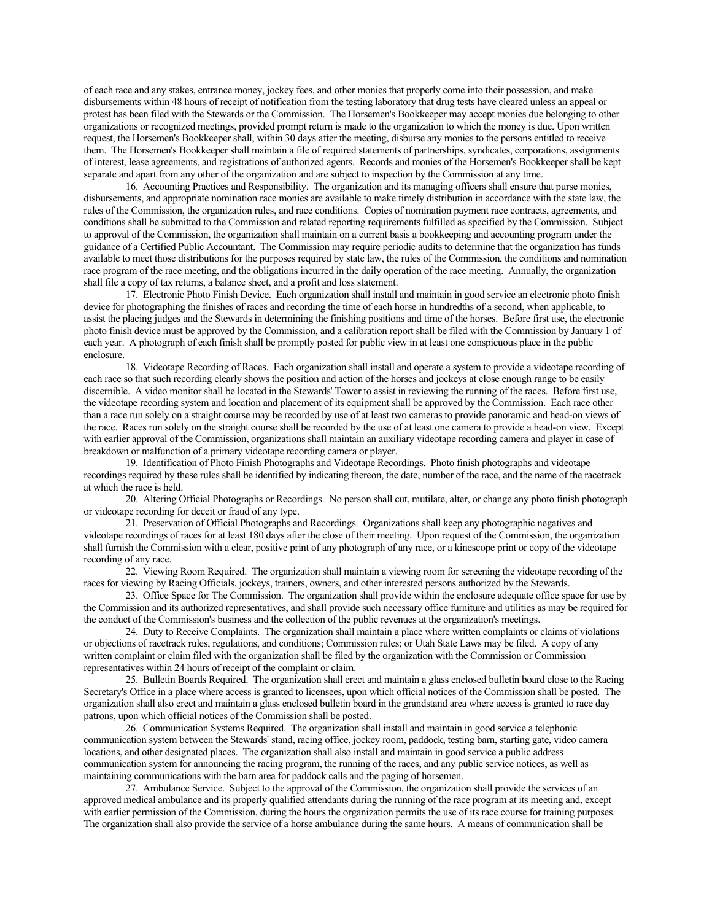of each race and any stakes, entrance money, jockey fees, and other monies that properly come into their possession, and make disbursements within 48 hours of receipt of notification from the testing laboratory that drug tests have cleared unless an appeal or protest has been filed with the Stewards or the Commission. The Horsemen's Bookkeeper may accept monies due belonging to other organizations or recognized meetings, provided prompt return is made to the organization to which the money is due. Upon written request, the Horsemen's Bookkeeper shall, within 30 days after the meeting, disburse any monies to the persons entitled to receive them. The Horsemen's Bookkeeper shall maintain a file of required statements of partnerships, syndicates, corporations, assignments of interest, lease agreements, and registrations of authorized agents. Records and monies of the Horsemen's Bookkeeper shall be kept separate and apart from any other of the organization and are subject to inspection by the Commission at any time.

16. Accounting Practices and Responsibility. The organization and its managing officers shall ensure that purse monies, disbursements, and appropriate nomination race monies are available to make timely distribution in accordance with the state law, the rules of the Commission, the organization rules, and race conditions. Copies of nomination payment race contracts, agreements, and conditions shall be submitted to the Commission and related reporting requirements fulfilled as specified by the Commission. Subject to approval of the Commission, the organization shall maintain on a current basis a bookkeeping and accounting program under the guidance of a Certified Public Accountant. The Commission may require periodic audits to determine that the organization has funds available to meet those distributions for the purposes required by state law, the rules of the Commission, the conditions and nomination race program of the race meeting, and the obligations incurred in the daily operation of the race meeting. Annually, the organization shall file a copy of tax returns, a balance sheet, and a profit and loss statement.

17. Electronic Photo Finish Device. Each organization shall install and maintain in good service an electronic photo finish device for photographing the finishes of races and recording the time of each horse in hundredths of a second, when applicable, to assist the placing judges and the Stewards in determining the finishing positions and time of the horses. Before first use, the electronic photo finish device must be approved by the Commission, and a calibration report shall be filed with the Commission by January 1 of each year. A photograph of each finish shall be promptly posted for public view in at least one conspicuous place in the public enclosure.

18. Videotape Recording of Races. Each organization shall install and operate a system to provide a videotape recording of each race so that such recording clearly shows the position and action of the horses and jockeys at close enough range to be easily discernible. A video monitor shall be located in the Stewards' Tower to assist in reviewing the running of the races. Before first use, the videotape recording system and location and placement of its equipment shall be approved by the Commission. Each race other than a race run solely on a straight course may be recorded by use of at least two cameras to provide panoramic and head-on views of the race. Races run solely on the straight course shall be recorded by the use of at least one camera to provide a head-on view. Except with earlier approval of the Commission, organizations shall maintain an auxiliary videotape recording camera and player in case of breakdown or malfunction of a primary videotape recording camera or player.

19. Identification of Photo Finish Photographs and Videotape Recordings. Photo finish photographs and videotape recordings required by these rules shall be identified by indicating thereon, the date, number of the race, and the name of the racetrack at which the race is held.

20. Altering Official Photographs or Recordings. No person shall cut, mutilate, alter, or change any photo finish photograph or videotape recording for deceit or fraud of any type.

21. Preservation of Official Photographs and Recordings. Organizations shall keep any photographic negatives and videotape recordings of races for at least 180 days after the close of their meeting. Upon request of the Commission, the organization shall furnish the Commission with a clear, positive print of any photograph of any race, or a kinescope print or copy of the videotape recording of any race.

22. Viewing Room Required. The organization shall maintain a viewing room for screening the videotape recording of the races for viewing by Racing Officials, jockeys, trainers, owners, and other interested persons authorized by the Stewards.

23. Office Space for The Commission. The organization shall provide within the enclosure adequate office space for use by the Commission and its authorized representatives, and shall provide such necessary office furniture and utilities as may be required for the conduct of the Commission's business and the collection of the public revenues at the organization's meetings.

24. Duty to Receive Complaints. The organization shall maintain a place where written complaints or claims of violations or objections of racetrack rules, regulations, and conditions; Commission rules; or Utah State Laws may be filed. A copy of any written complaint or claim filed with the organization shall be filed by the organization with the Commission or Commission representatives within 24 hours of receipt of the complaint or claim.

25. Bulletin Boards Required. The organization shall erect and maintain a glass enclosed bulletin board close to the Racing Secretary's Office in a place where access is granted to licensees, upon which official notices of the Commission shall be posted. The organization shall also erect and maintain a glass enclosed bulletin board in the grandstand area where access is granted to race day patrons, upon which official notices of the Commission shall be posted.

26. Communication Systems Required. The organization shall install and maintain in good service a telephonic communication system between the Stewards' stand, racing office, jockey room, paddock, testing barn, starting gate, video camera locations, and other designated places. The organization shall also install and maintain in good service a public address communication system for announcing the racing program, the running of the races, and any public service notices, as well as maintaining communications with the barn area for paddock calls and the paging of horsemen.

27. Ambulance Service. Subject to the approval of the Commission, the organization shall provide the services of an approved medical ambulance and its properly qualified attendants during the running of the race program at its meeting and, except with earlier permission of the Commission, during the hours the organization permits the use of its race course for training purposes. The organization shall also provide the service of a horse ambulance during the same hours. A means of communication shall be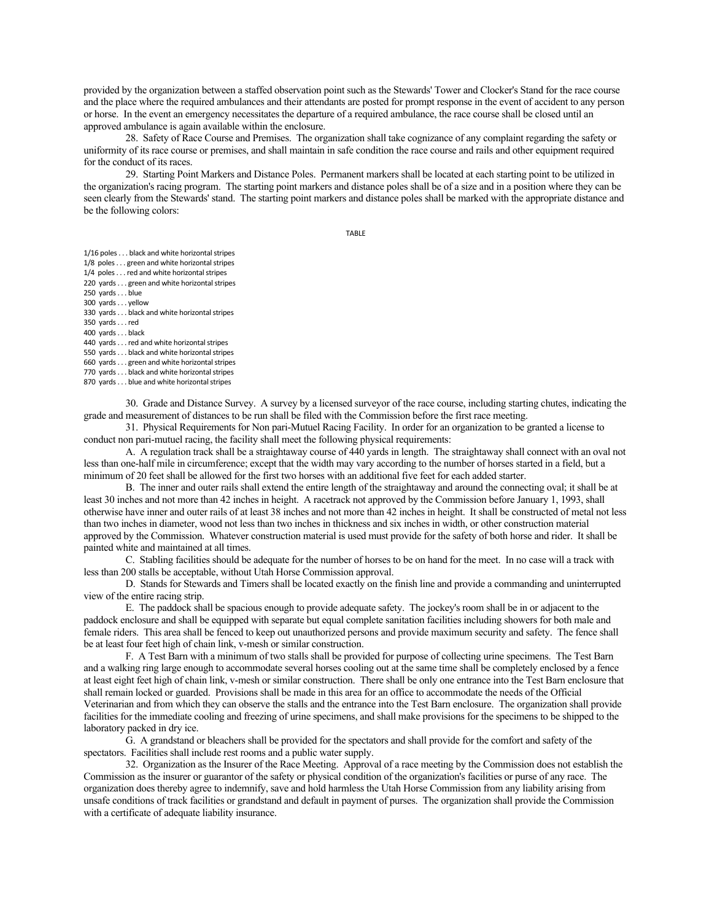provided by the organization between a staffed observation point such as the Stewards' Tower and Clocker's Stand for the race course and the place where the required ambulances and their attendants are posted for prompt response in the event of accident to any person or horse. In the event an emergency necessitates the departure of a required ambulance, the race course shall be closed until an approved ambulance is again available within the enclosure.

28. Safety of Race Course and Premises. The organization shall take cognizance of any complaint regarding the safety or uniformity of its race course or premises, and shall maintain in safe condition the race course and rails and other equipment required for the conduct of its races.

29. Starting Point Markers and Distance Poles. Permanent markers shall be located at each starting point to be utilized in the organization's racing program. The starting point markers and distance poles shall be of a size and in a position where they can be seen clearly from the Stewards' stand. The starting point markers and distance poles shall be marked with the appropriate distance and be the following colors:

TABLE

1/16 poles . . . black and white horizontal stripes

1/8 poles . . . green and white horizontal stripes 1/4 poles . . . red and white horizontal stripes

220 yards . . . green and white horizontal stripes

250 yards . . . blue

300 yards . . . yellow

330 yards . . . black and white horizontal stripes

350 yards . . . red

400 yards . . . black

440 yards . . . red and white horizontal stripes

550 yards . . . black and white horizontal stripes

660 yards . . . green and white horizontal stripes

770 yards . . . black and white horizontal stripes

870 yards . . . blue and white horizontal stripes

30. Grade and Distance Survey. A survey by a licensed surveyor of the race course, including starting chutes, indicating the grade and measurement of distances to be run shall be filed with the Commission before the first race meeting.

31. Physical Requirements for Non pari-Mutuel Racing Facility. In order for an organization to be granted a license to conduct non pari-mutuel racing, the facility shall meet the following physical requirements:

A. A regulation track shall be a straightaway course of 440 yards in length. The straightaway shall connect with an oval not less than one-half mile in circumference; except that the width may vary according to the number of horses started in a field, but a minimum of 20 feet shall be allowed for the first two horses with an additional five feet for each added starter.

B. The inner and outer rails shall extend the entire length of the straightaway and around the connecting oval; it shall be at least 30 inches and not more than 42 inches in height. A racetrack not approved by the Commission before January 1, 1993, shall otherwise have inner and outer rails of at least 38 inches and not more than 42 inches in height. It shall be constructed of metal not less than two inches in diameter, wood not less than two inches in thickness and six inches in width, or other construction material approved by the Commission. Whatever construction material is used must provide for the safety of both horse and rider. It shall be painted white and maintained at all times.

C. Stabling facilities should be adequate for the number of horses to be on hand for the meet. In no case will a track with less than 200 stalls be acceptable, without Utah Horse Commission approval.

D. Stands for Stewards and Timers shall be located exactly on the finish line and provide a commanding and uninterrupted view of the entire racing strip.

E. The paddock shall be spacious enough to provide adequate safety. The jockey's room shall be in or adjacent to the paddock enclosure and shall be equipped with separate but equal complete sanitation facilities including showers for both male and female riders. This area shall be fenced to keep out unauthorized persons and provide maximum security and safety. The fence shall be at least four feet high of chain link, v-mesh or similar construction.

F. A Test Barn with a minimum of two stalls shall be provided for purpose of collecting urine specimens. The Test Barn and a walking ring large enough to accommodate several horses cooling out at the same time shall be completely enclosed by a fence at least eight feet high of chain link, v-mesh or similar construction. There shall be only one entrance into the Test Barn enclosure that shall remain locked or guarded. Provisions shall be made in this area for an office to accommodate the needs of the Official Veterinarian and from which they can observe the stalls and the entrance into the Test Barn enclosure. The organization shall provide facilities for the immediate cooling and freezing of urine specimens, and shall make provisions for the specimens to be shipped to the laboratory packed in dry ice.

G. A grandstand or bleachers shall be provided for the spectators and shall provide for the comfort and safety of the spectators. Facilities shall include rest rooms and a public water supply.

32. Organization as the Insurer of the Race Meeting. Approval of a race meeting by the Commission does not establish the Commission as the insurer or guarantor of the safety or physical condition of the organization's facilities or purse of any race. The organization does thereby agree to indemnify, save and hold harmless the Utah Horse Commission from any liability arising from unsafe conditions of track facilities or grandstand and default in payment of purses. The organization shall provide the Commission with a certificate of adequate liability insurance.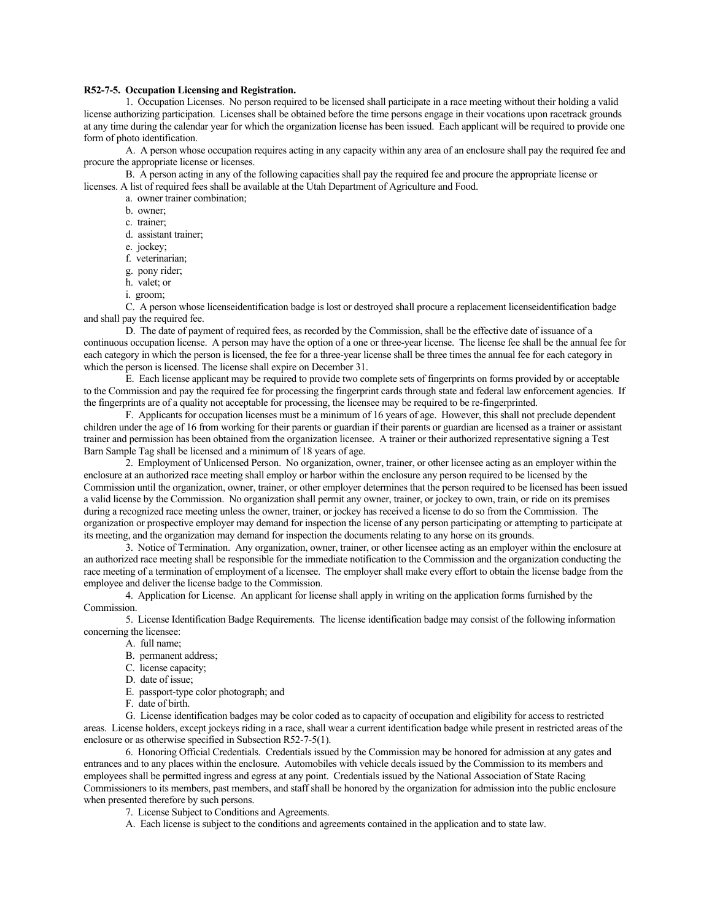### **R52-7-5. Occupation Licensing and Registration.**

1. Occupation Licenses. No person required to be licensed shall participate in a race meeting without their holding a valid license authorizing participation. Licenses shall be obtained before the time persons engage in their vocations upon racetrack grounds at any time during the calendar year for which the organization license has been issued. Each applicant will be required to provide one form of photo identification.

A. A person whose occupation requires acting in any capacity within any area of an enclosure shall pay the required fee and procure the appropriate license or licenses.

B. A person acting in any of the following capacities shall pay the required fee and procure the appropriate license or licenses. A list of required fees shall be available at the Utah Department of Agriculture and Food.

- a. owner trainer combination;
- b. owner;
- c. trainer;
- d. assistant trainer;
- e. jockey;
- f. veterinarian;
- g. pony rider;
- h. valet; or
- i. groom;

C. A person whose licenseidentification badge is lost or destroyed shall procure a replacement licenseidentification badge and shall pay the required fee.

D. The date of payment of required fees, as recorded by the Commission, shall be the effective date of issuance of a continuous occupation license. A person may have the option of a one or three-year license. The license fee shall be the annual fee for each category in which the person is licensed, the fee for a three-year license shall be three times the annual fee for each category in which the person is licensed. The license shall expire on December 31.

E. Each license applicant may be required to provide two complete sets of fingerprints on forms provided by or acceptable to the Commission and pay the required fee for processing the fingerprint cards through state and federal law enforcement agencies. If the fingerprints are of a quality not acceptable for processing, the licensee may be required to be re-fingerprinted.

F. Applicants for occupation licenses must be a minimum of 16 years of age. However, this shall not preclude dependent children under the age of 16 from working for their parents or guardian if their parents or guardian are licensed as a trainer or assistant trainer and permission has been obtained from the organization licensee. A trainer or their authorized representative signing a Test Barn Sample Tag shall be licensed and a minimum of 18 years of age.

2. Employment of Unlicensed Person. No organization, owner, trainer, or other licensee acting as an employer within the enclosure at an authorized race meeting shall employ or harbor within the enclosure any person required to be licensed by the Commission until the organization, owner, trainer, or other employer determines that the person required to be licensed has been issued a valid license by the Commission. No organization shall permit any owner, trainer, or jockey to own, train, or ride on its premises during a recognized race meeting unless the owner, trainer, or jockey has received a license to do so from the Commission. The organization or prospective employer may demand for inspection the license of any person participating or attempting to participate at its meeting, and the organization may demand for inspection the documents relating to any horse on its grounds.

3. Notice of Termination. Any organization, owner, trainer, or other licensee acting as an employer within the enclosure at an authorized race meeting shall be responsible for the immediate notification to the Commission and the organization conducting the race meeting of a termination of employment of a licensee. The employer shall make every effort to obtain the license badge from the employee and deliver the license badge to the Commission.

4. Application for License. An applicant for license shall apply in writing on the application forms furnished by the Commission.

5. License Identification Badge Requirements. The license identification badge may consist of the following information concerning the licensee:

- A. full name;
	- B. permanent address;
	- C. license capacity;
	- D. date of issue;
	- E. passport-type color photograph; and
	- F. date of birth.

G. License identification badges may be color coded as to capacity of occupation and eligibility for access to restricted areas. License holders, except jockeys riding in a race, shall wear a current identification badge while present in restricted areas of the enclosure or as otherwise specified in Subsection R52-7-5(1).

6. Honoring Official Credentials. Credentials issued by the Commission may be honored for admission at any gates and entrances and to any places within the enclosure. Automobiles with vehicle decals issued by the Commission to its members and employees shall be permitted ingress and egress at any point. Credentials issued by the National Association of State Racing Commissioners to its members, past members, and staff shall be honored by the organization for admission into the public enclosure when presented therefore by such persons.

7. License Subject to Conditions and Agreements.

A. Each license is subject to the conditions and agreements contained in the application and to state law.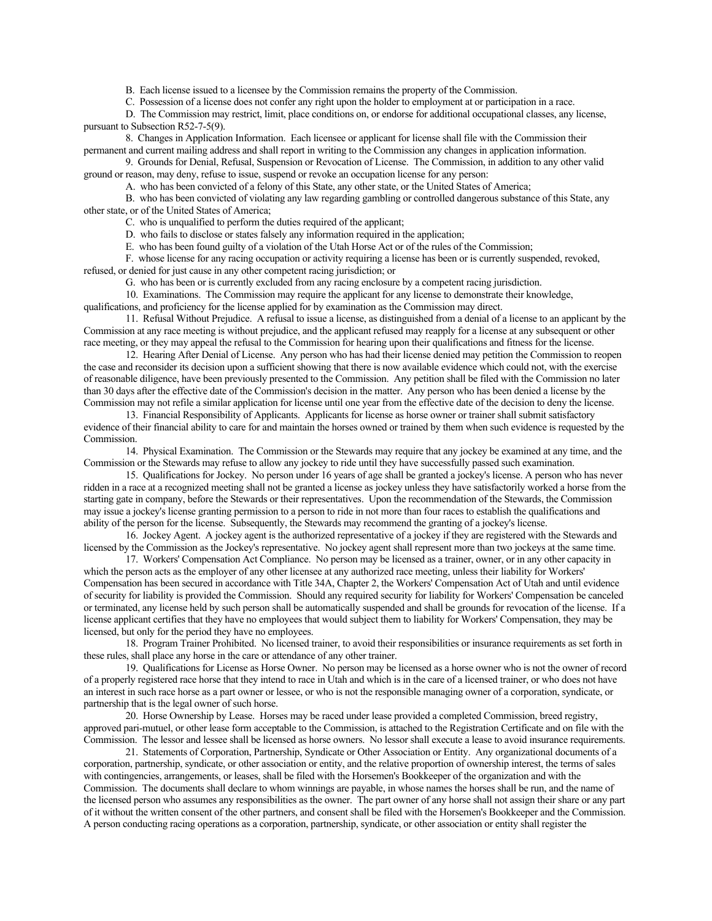B. Each license issued to a licensee by the Commission remains the property of the Commission.

C. Possession of a license does not confer any right upon the holder to employment at or participation in a race.

D. The Commission may restrict, limit, place conditions on, or endorse for additional occupational classes, any license, pursuant to Subsection R52-7-5(9).

8. Changes in Application Information. Each licensee or applicant for license shall file with the Commission their permanent and current mailing address and shall report in writing to the Commission any changes in application information.

9. Grounds for Denial, Refusal, Suspension or Revocation of License. The Commission, in addition to any other valid ground or reason, may deny, refuse to issue, suspend or revoke an occupation license for any person:

A. who has been convicted of a felony of this State, any other state, or the United States of America;

B. who has been convicted of violating any law regarding gambling or controlled dangerous substance of this State, any other state, or of the United States of America;

C. who is unqualified to perform the duties required of the applicant;

- D. who fails to disclose or states falsely any information required in the application;
- E. who has been found guilty of a violation of the Utah Horse Act or of the rules of the Commission;

F. whose license for any racing occupation or activity requiring a license has been or is currently suspended, revoked, refused, or denied for just cause in any other competent racing jurisdiction; or

G. who has been or is currently excluded from any racing enclosure by a competent racing jurisdiction.

10. Examinations. The Commission may require the applicant for any license to demonstrate their knowledge,

qualifications, and proficiency for the license applied for by examination as the Commission may direct.

11. Refusal Without Prejudice. A refusal to issue a license, as distinguished from a denial of a license to an applicant by the Commission at any race meeting is without prejudice, and the applicant refused may reapply for a license at any subsequent or other race meeting, or they may appeal the refusal to the Commission for hearing upon their qualifications and fitness for the license.

12. Hearing After Denial of License. Any person who has had their license denied may petition the Commission to reopen the case and reconsider its decision upon a sufficient showing that there is now available evidence which could not, with the exercise of reasonable diligence, have been previously presented to the Commission. Any petition shall be filed with the Commission no later than 30 days after the effective date of the Commission's decision in the matter. Any person who has been denied a license by the Commission may not refile a similar application for license until one year from the effective date of the decision to deny the license.

13. Financial Responsibility of Applicants. Applicants for license as horse owner or trainer shall submit satisfactory evidence of their financial ability to care for and maintain the horses owned or trained by them when such evidence is requested by the Commission.

14. Physical Examination. The Commission or the Stewards may require that any jockey be examined at any time, and the Commission or the Stewards may refuse to allow any jockey to ride until they have successfully passed such examination.

15. Qualifications for Jockey. No person under 16 years of age shall be granted a jockey's license. A person who has never ridden in a race at a recognized meeting shall not be granted a license as jockey unless they have satisfactorily worked a horse from the starting gate in company, before the Stewards or their representatives. Upon the recommendation of the Stewards, the Commission may issue a jockey's license granting permission to a person to ride in not more than four races to establish the qualifications and ability of the person for the license. Subsequently, the Stewards may recommend the granting of a jockey's license.

16. Jockey Agent. A jockey agent is the authorized representative of a jockey if they are registered with the Stewards and licensed by the Commission as the Jockey's representative. No jockey agent shall represent more than two jockeys at the same time.

17. Workers' Compensation Act Compliance. No person may be licensed as a trainer, owner, or in any other capacity in which the person acts as the employer of any other licensee at any authorized race meeting, unless their liability for Workers' Compensation has been secured in accordance with Title 34A, Chapter 2, the Workers' Compensation Act of Utah and until evidence of security for liability is provided the Commission. Should any required security for liability for Workers' Compensation be canceled or terminated, any license held by such person shall be automatically suspended and shall be grounds for revocation of the license. If a license applicant certifies that they have no employees that would subject them to liability for Workers' Compensation, they may be licensed, but only for the period they have no employees.

18. Program Trainer Prohibited. No licensed trainer, to avoid their responsibilities or insurance requirements as set forth in these rules, shall place any horse in the care or attendance of any other trainer.

19. Qualifications for License as Horse Owner. No person may be licensed as a horse owner who is not the owner of record of a properly registered race horse that they intend to race in Utah and which is in the care of a licensed trainer, or who does not have an interest in such race horse as a part owner or lessee, or who is not the responsible managing owner of a corporation, syndicate, or partnership that is the legal owner of such horse.

20. Horse Ownership by Lease. Horses may be raced under lease provided a completed Commission, breed registry, approved pari-mutuel, or other lease form acceptable to the Commission, is attached to the Registration Certificate and on file with the Commission. The lessor and lessee shall be licensed as horse owners. No lessor shall execute a lease to avoid insurance requirements.

21. Statements of Corporation, Partnership, Syndicate or Other Association or Entity. Any organizational documents of a corporation, partnership, syndicate, or other association or entity, and the relative proportion of ownership interest, the terms of sales with contingencies, arrangements, or leases, shall be filed with the Horsemen's Bookkeeper of the organization and with the Commission. The documents shall declare to whom winnings are payable, in whose names the horses shall be run, and the name of the licensed person who assumes any responsibilities as the owner. The part owner of any horse shall not assign their share or any part of it without the written consent of the other partners, and consent shall be filed with the Horsemen's Bookkeeper and the Commission. A person conducting racing operations as a corporation, partnership, syndicate, or other association or entity shall register the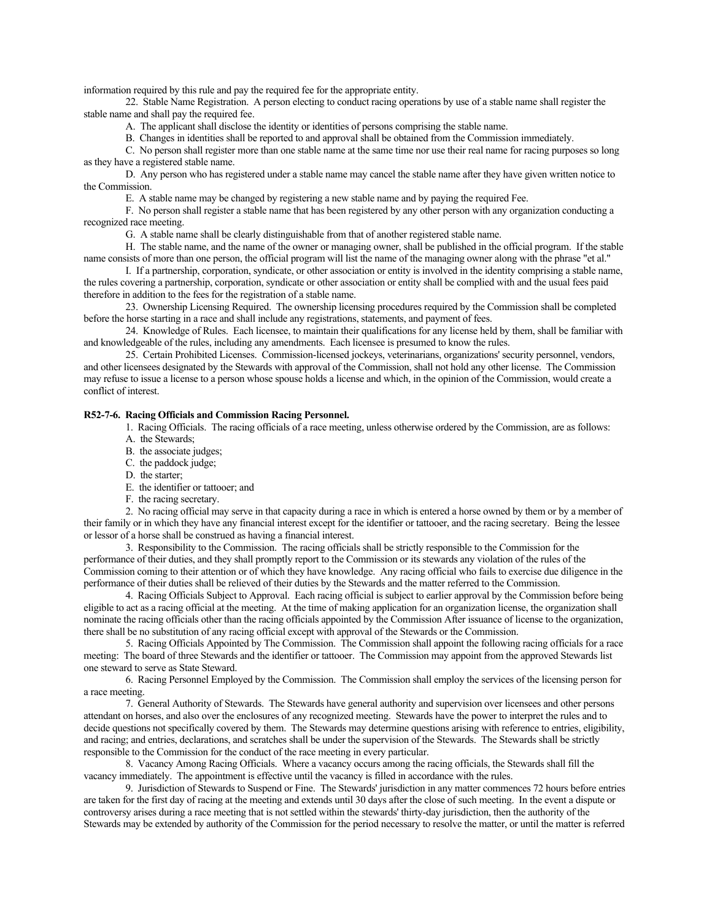information required by this rule and pay the required fee for the appropriate entity.

22. Stable Name Registration. A person electing to conduct racing operations by use of a stable name shall register the stable name and shall pay the required fee.

A. The applicant shall disclose the identity or identities of persons comprising the stable name.

B. Changes in identities shall be reported to and approval shall be obtained from the Commission immediately.

C. No person shall register more than one stable name at the same time nor use their real name for racing purposes so long as they have a registered stable name.

D. Any person who has registered under a stable name may cancel the stable name after they have given written notice to the Commission.

E. A stable name may be changed by registering a new stable name and by paying the required Fee.

F. No person shall register a stable name that has been registered by any other person with any organization conducting a recognized race meeting.

G. A stable name shall be clearly distinguishable from that of another registered stable name.

H. The stable name, and the name of the owner or managing owner, shall be published in the official program. If the stable name consists of more than one person, the official program will list the name of the managing owner along with the phrase "et al."

I. If a partnership, corporation, syndicate, or other association or entity is involved in the identity comprising a stable name, the rules covering a partnership, corporation, syndicate or other association or entity shall be complied with and the usual fees paid therefore in addition to the fees for the registration of a stable name.

23. Ownership Licensing Required. The ownership licensing procedures required by the Commission shall be completed before the horse starting in a race and shall include any registrations, statements, and payment of fees.

24. Knowledge of Rules. Each licensee, to maintain their qualifications for any license held by them, shall be familiar with and knowledgeable of the rules, including any amendments. Each licensee is presumed to know the rules.

25. Certain Prohibited Licenses. Commission-licensed jockeys, veterinarians, organizations' security personnel, vendors, and other licensees designated by the Stewards with approval of the Commission, shall not hold any other license. The Commission may refuse to issue a license to a person whose spouse holds a license and which, in the opinion of the Commission, would create a conflict of interest.

## **R52-7-6. Racing Officials and Commission Racing Personnel.**

1. Racing Officials. The racing officials of a race meeting, unless otherwise ordered by the Commission, are as follows:

- A. the Stewards;
- B. the associate judges;
- C. the paddock judge;
- D. the starter;
- E. the identifier or tattooer; and
- F. the racing secretary.

2. No racing official may serve in that capacity during a race in which is entered a horse owned by them or by a member of their family or in which they have any financial interest except for the identifier or tattooer, and the racing secretary. Being the lessee or lessor of a horse shall be construed as having a financial interest.

3. Responsibility to the Commission. The racing officials shall be strictly responsible to the Commission for the performance of their duties, and they shall promptly report to the Commission or its stewards any violation of the rules of the Commission coming to their attention or of which they have knowledge. Any racing official who fails to exercise due diligence in the performance of their duties shall be relieved of their duties by the Stewards and the matter referred to the Commission.

4. Racing Officials Subject to Approval. Each racing official is subject to earlier approval by the Commission before being eligible to act as a racing official at the meeting. At the time of making application for an organization license, the organization shall nominate the racing officials other than the racing officials appointed by the Commission After issuance of license to the organization, there shall be no substitution of any racing official except with approval of the Stewards or the Commission.

5. Racing Officials Appointed by The Commission. The Commission shall appoint the following racing officials for a race meeting: The board of three Stewards and the identifier or tattooer. The Commission may appoint from the approved Stewards list one steward to serve as State Steward.

6. Racing Personnel Employed by the Commission. The Commission shall employ the services of the licensing person for a race meeting.

7. General Authority of Stewards. The Stewards have general authority and supervision over licensees and other persons attendant on horses, and also over the enclosures of any recognized meeting. Stewards have the power to interpret the rules and to decide questions not specifically covered by them. The Stewards may determine questions arising with reference to entries, eligibility, and racing; and entries, declarations, and scratches shall be under the supervision of the Stewards. The Stewards shall be strictly responsible to the Commission for the conduct of the race meeting in every particular.

8. Vacancy Among Racing Officials. Where a vacancy occurs among the racing officials, the Stewards shall fill the vacancy immediately. The appointment is effective until the vacancy is filled in accordance with the rules.

9. Jurisdiction of Stewards to Suspend or Fine. The Stewards' jurisdiction in any matter commences 72 hours before entries are taken for the first day of racing at the meeting and extends until 30 days after the close of such meeting. In the event a dispute or controversy arises during a race meeting that is not settled within the stewards' thirty-day jurisdiction, then the authority of the Stewards may be extended by authority of the Commission for the period necessary to resolve the matter, or until the matter is referred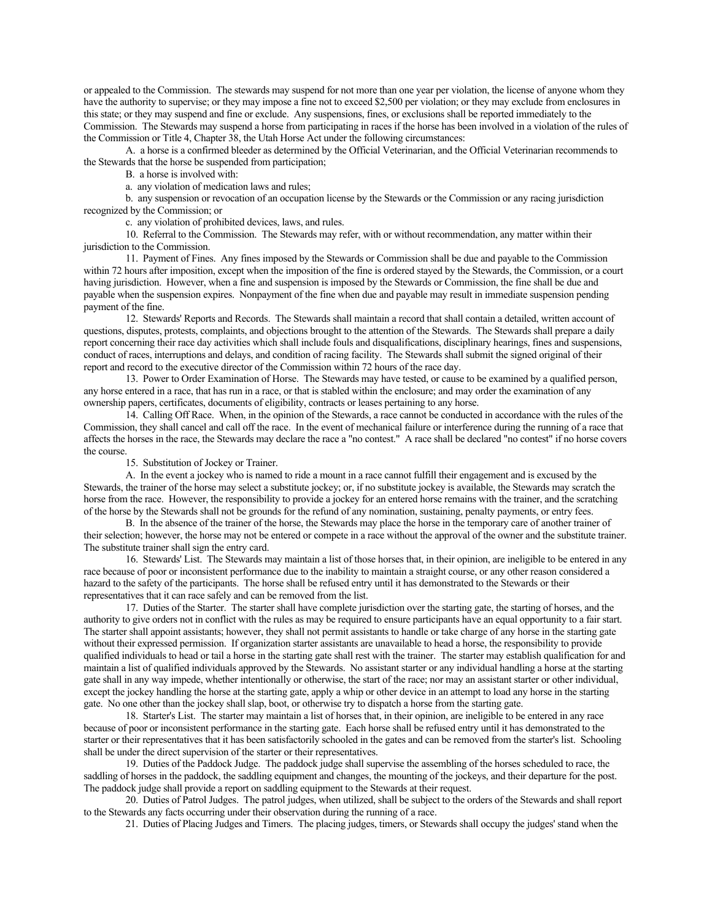or appealed to the Commission. The stewards may suspend for not more than one year per violation, the license of anyone whom they have the authority to supervise; or they may impose a fine not to exceed \$2,500 per violation; or they may exclude from enclosures in this state; or they may suspend and fine or exclude. Any suspensions, fines, or exclusions shall be reported immediately to the Commission. The Stewards may suspend a horse from participating in races if the horse has been involved in a violation of the rules of the Commission or Title 4, Chapter 38, the Utah Horse Act under the following circumstances:

A. a horse is a confirmed bleeder as determined by the Official Veterinarian, and the Official Veterinarian recommends to the Stewards that the horse be suspended from participation;

B. a horse is involved with:

a. any violation of medication laws and rules;

b. any suspension or revocation of an occupation license by the Stewards or the Commission or any racing jurisdiction recognized by the Commission; or

c. any violation of prohibited devices, laws, and rules.

10. Referral to the Commission. The Stewards may refer, with or without recommendation, any matter within their jurisdiction to the Commission.

11. Payment of Fines. Any fines imposed by the Stewards or Commission shall be due and payable to the Commission within 72 hours after imposition, except when the imposition of the fine is ordered stayed by the Stewards, the Commission, or a court having jurisdiction. However, when a fine and suspension is imposed by the Stewards or Commission, the fine shall be due and payable when the suspension expires. Nonpayment of the fine when due and payable may result in immediate suspension pending payment of the fine.

12. Stewards' Reports and Records. The Stewards shall maintain a record that shall contain a detailed, written account of questions, disputes, protests, complaints, and objections brought to the attention of the Stewards. The Stewards shall prepare a daily report concerning their race day activities which shall include fouls and disqualifications, disciplinary hearings, fines and suspensions, conduct of races, interruptions and delays, and condition of racing facility. The Stewards shall submit the signed original of their report and record to the executive director of the Commission within 72 hours of the race day.

13. Power to Order Examination of Horse. The Stewards may have tested, or cause to be examined by a qualified person, any horse entered in a race, that has run in a race, or that is stabled within the enclosure; and may order the examination of any ownership papers, certificates, documents of eligibility, contracts or leases pertaining to any horse.

14. Calling Off Race. When, in the opinion of the Stewards, a race cannot be conducted in accordance with the rules of the Commission, they shall cancel and call off the race. In the event of mechanical failure or interference during the running of a race that affects the horses in the race, the Stewards may declare the race a "no contest." A race shall be declared "no contest" if no horse covers the course.

15. Substitution of Jockey or Trainer.

A. In the event a jockey who is named to ride a mount in a race cannot fulfill their engagement and is excused by the Stewards, the trainer of the horse may select a substitute jockey; or, if no substitute jockey is available, the Stewards may scratch the horse from the race. However, the responsibility to provide a jockey for an entered horse remains with the trainer, and the scratching of the horse by the Stewards shall not be grounds for the refund of any nomination, sustaining, penalty payments, or entry fees.

B. In the absence of the trainer of the horse, the Stewards may place the horse in the temporary care of another trainer of their selection; however, the horse may not be entered or compete in a race without the approval of the owner and the substitute trainer. The substitute trainer shall sign the entry card.

16. Stewards' List. The Stewards may maintain a list of those horses that, in their opinion, are ineligible to be entered in any race because of poor or inconsistent performance due to the inability to maintain a straight course, or any other reason considered a hazard to the safety of the participants. The horse shall be refused entry until it has demonstrated to the Stewards or their representatives that it can race safely and can be removed from the list.

17. Duties of the Starter. The starter shall have complete jurisdiction over the starting gate, the starting of horses, and the authority to give orders not in conflict with the rules as may be required to ensure participants have an equal opportunity to a fair start. The starter shall appoint assistants; however, they shall not permit assistants to handle or take charge of any horse in the starting gate without their expressed permission. If organization starter assistants are unavailable to head a horse, the responsibility to provide qualified individuals to head or tail a horse in the starting gate shall rest with the trainer. The starter may establish qualification for and maintain a list of qualified individuals approved by the Stewards. No assistant starter or any individual handling a horse at the starting gate shall in any way impede, whether intentionally or otherwise, the start of the race; nor may an assistant starter or other individual, except the jockey handling the horse at the starting gate, apply a whip or other device in an attempt to load any horse in the starting gate. No one other than the jockey shall slap, boot, or otherwise try to dispatch a horse from the starting gate.

18. Starter's List. The starter may maintain a list of horses that, in their opinion, are ineligible to be entered in any race because of poor or inconsistent performance in the starting gate. Each horse shall be refused entry until it has demonstrated to the starter or their representatives that it has been satisfactorily schooled in the gates and can be removed from the starter's list. Schooling shall be under the direct supervision of the starter or their representatives.

19. Duties of the Paddock Judge. The paddock judge shall supervise the assembling of the horses scheduled to race, the saddling of horses in the paddock, the saddling equipment and changes, the mounting of the jockeys, and their departure for the post. The paddock judge shall provide a report on saddling equipment to the Stewards at their request.

20. Duties of Patrol Judges. The patrol judges, when utilized, shall be subject to the orders of the Stewards and shall report to the Stewards any facts occurring under their observation during the running of a race.

21. Duties of Placing Judges and Timers. The placing judges, timers, or Stewards shall occupy the judges' stand when the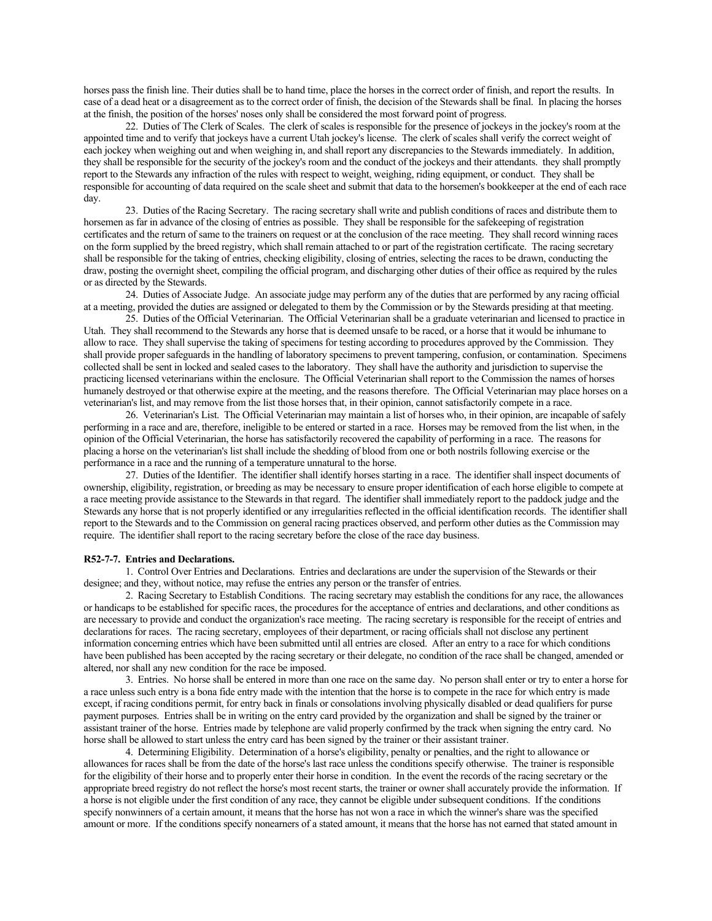horses pass the finish line. Their duties shall be to hand time, place the horses in the correct order of finish, and report the results. In case of a dead heat or a disagreement as to the correct order of finish, the decision of the Stewards shall be final. In placing the horses at the finish, the position of the horses' noses only shall be considered the most forward point of progress.

22. Duties of The Clerk of Scales. The clerk of scales is responsible for the presence of jockeys in the jockey's room at the appointed time and to verify that jockeys have a current Utah jockey's license. The clerk of scales shall verify the correct weight of each jockey when weighing out and when weighing in, and shall report any discrepancies to the Stewards immediately. In addition, they shall be responsible for the security of the jockey's room and the conduct of the jockeys and their attendants. they shall promptly report to the Stewards any infraction of the rules with respect to weight, weighing, riding equipment, or conduct. They shall be responsible for accounting of data required on the scale sheet and submit that data to the horsemen's bookkeeper at the end of each race day.

23. Duties of the Racing Secretary. The racing secretary shall write and publish conditions of races and distribute them to horsemen as far in advance of the closing of entries as possible. They shall be responsible for the safekeeping of registration certificates and the return of same to the trainers on request or at the conclusion of the race meeting. They shall record winning races on the form supplied by the breed registry, which shall remain attached to or part of the registration certificate. The racing secretary shall be responsible for the taking of entries, checking eligibility, closing of entries, selecting the races to be drawn, conducting the draw, posting the overnight sheet, compiling the official program, and discharging other duties of their office as required by the rules or as directed by the Stewards.

24. Duties of Associate Judge. An associate judge may perform any of the duties that are performed by any racing official at a meeting, provided the duties are assigned or delegated to them by the Commission or by the Stewards presiding at that meeting.

25. Duties of the Official Veterinarian. The Official Veterinarian shall be a graduate veterinarian and licensed to practice in Utah. They shall recommend to the Stewards any horse that is deemed unsafe to be raced, or a horse that it would be inhumane to allow to race. They shall supervise the taking of specimens for testing according to procedures approved by the Commission. They shall provide proper safeguards in the handling of laboratory specimens to prevent tampering, confusion, or contamination. Specimens collected shall be sent in locked and sealed cases to the laboratory. They shall have the authority and jurisdiction to supervise the practicing licensed veterinarians within the enclosure. The Official Veterinarian shall report to the Commission the names of horses humanely destroyed or that otherwise expire at the meeting, and the reasons therefore. The Official Veterinarian may place horses on a veterinarian's list, and may remove from the list those horses that, in their opinion, cannot satisfactorily compete in a race.

26. Veterinarian's List. The Official Veterinarian may maintain a list of horses who, in their opinion, are incapable of safely performing in a race and are, therefore, ineligible to be entered or started in a race. Horses may be removed from the list when, in the opinion of the Official Veterinarian, the horse has satisfactorily recovered the capability of performing in a race. The reasons for placing a horse on the veterinarian's list shall include the shedding of blood from one or both nostrils following exercise or the performance in a race and the running of a temperature unnatural to the horse.

27. Duties of the Identifier. The identifier shall identify horses starting in a race. The identifier shall inspect documents of ownership, eligibility, registration, or breeding as may be necessary to ensure proper identification of each horse eligible to compete at a race meeting provide assistance to the Stewards in that regard. The identifier shall immediately report to the paddock judge and the Stewards any horse that is not properly identified or any irregularities reflected in the official identification records. The identifier shall report to the Stewards and to the Commission on general racing practices observed, and perform other duties as the Commission may require. The identifier shall report to the racing secretary before the close of the race day business.

#### **R52-7-7. Entries and Declarations.**

1. Control Over Entries and Declarations. Entries and declarations are under the supervision of the Stewards or their designee; and they, without notice, may refuse the entries any person or the transfer of entries.

2. Racing Secretary to Establish Conditions. The racing secretary may establish the conditions for any race, the allowances or handicaps to be established for specific races, the procedures for the acceptance of entries and declarations, and other conditions as are necessary to provide and conduct the organization's race meeting. The racing secretary is responsible for the receipt of entries and declarations for races. The racing secretary, employees of their department, or racing officials shall not disclose any pertinent information concerning entries which have been submitted until all entries are closed. After an entry to a race for which conditions have been published has been accepted by the racing secretary or their delegate, no condition of the race shall be changed, amended or altered, nor shall any new condition for the race be imposed.

3. Entries. No horse shall be entered in more than one race on the same day. No person shall enter or try to enter a horse for a race unless such entry is a bona fide entry made with the intention that the horse is to compete in the race for which entry is made except, if racing conditions permit, for entry back in finals or consolations involving physically disabled or dead qualifiers for purse payment purposes. Entries shall be in writing on the entry card provided by the organization and shall be signed by the trainer or assistant trainer of the horse. Entries made by telephone are valid properly confirmed by the track when signing the entry card. No horse shall be allowed to start unless the entry card has been signed by the trainer or their assistant trainer.

4. Determining Eligibility. Determination of a horse's eligibility, penalty or penalties, and the right to allowance or allowances for races shall be from the date of the horse's last race unless the conditions specify otherwise. The trainer is responsible for the eligibility of their horse and to properly enter their horse in condition. In the event the records of the racing secretary or the appropriate breed registry do not reflect the horse's most recent starts, the trainer or owner shall accurately provide the information. If a horse is not eligible under the first condition of any race, they cannot be eligible under subsequent conditions. If the conditions specify nonwinners of a certain amount, it means that the horse has not won a race in which the winner's share was the specified amount or more. If the conditions specify nonearners of a stated amount, it means that the horse has not earned that stated amount in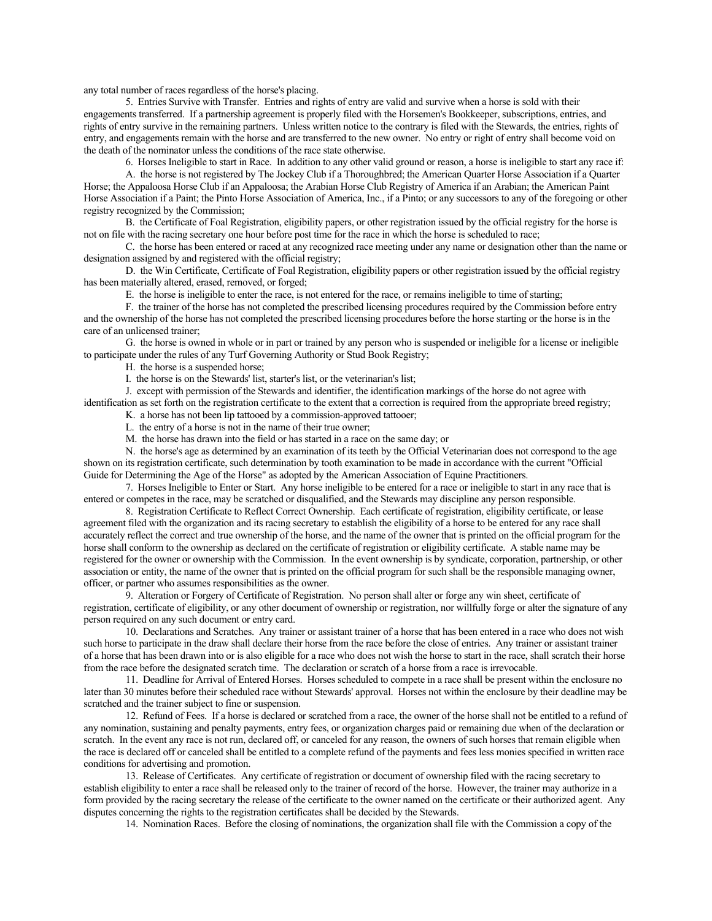any total number of races regardless of the horse's placing.

5. Entries Survive with Transfer. Entries and rights of entry are valid and survive when a horse is sold with their engagements transferred. If a partnership agreement is properly filed with the Horsemen's Bookkeeper, subscriptions, entries, and rights of entry survive in the remaining partners. Unless written notice to the contrary is filed with the Stewards, the entries, rights of entry, and engagements remain with the horse and are transferred to the new owner. No entry or right of entry shall become void on the death of the nominator unless the conditions of the race state otherwise.

6. Horses Ineligible to start in Race. In addition to any other valid ground or reason, a horse is ineligible to start any race if:

A. the horse is not registered by The Jockey Club if a Thoroughbred; the American Quarter Horse Association if a Quarter Horse; the Appaloosa Horse Club if an Appaloosa; the Arabian Horse Club Registry of America if an Arabian; the American Paint Horse Association if a Paint; the Pinto Horse Association of America, Inc., if a Pinto; or any successors to any of the foregoing or other registry recognized by the Commission;

B. the Certificate of Foal Registration, eligibility papers, or other registration issued by the official registry for the horse is not on file with the racing secretary one hour before post time for the race in which the horse is scheduled to race;

C. the horse has been entered or raced at any recognized race meeting under any name or designation other than the name or designation assigned by and registered with the official registry;

D. the Win Certificate, Certificate of Foal Registration, eligibility papers or other registration issued by the official registry has been materially altered, erased, removed, or forged;

E. the horse is ineligible to enter the race, is not entered for the race, or remains ineligible to time of starting;

F. the trainer of the horse has not completed the prescribed licensing procedures required by the Commission before entry and the ownership of the horse has not completed the prescribed licensing procedures before the horse starting or the horse is in the care of an unlicensed trainer;

G. the horse is owned in whole or in part or trained by any person who is suspended or ineligible for a license or ineligible to participate under the rules of any Turf Governing Authority or Stud Book Registry;

H. the horse is a suspended horse;

I. the horse is on the Stewards' list, starter's list, or the veterinarian's list;

J. except with permission of the Stewards and identifier, the identification markings of the horse do not agree with identification as set forth on the registration certificate to the extent that a correction is required from the appropriate breed registry; K. a horse has not been lip tattooed by a commission-approved tattooer;

L. the entry of a horse is not in the name of their true owner;

M. the horse has drawn into the field or has started in a race on the same day; or

N. the horse's age as determined by an examination of its teeth by the Official Veterinarian does not correspond to the age shown on its registration certificate, such determination by tooth examination to be made in accordance with the current "Official Guide for Determining the Age of the Horse" as adopted by the American Association of Equine Practitioners.

7. Horses Ineligible to Enter or Start. Any horse ineligible to be entered for a race or ineligible to start in any race that is entered or competes in the race, may be scratched or disqualified, and the Stewards may discipline any person responsible.

8. Registration Certificate to Reflect Correct Ownership. Each certificate of registration, eligibility certificate, or lease agreement filed with the organization and its racing secretary to establish the eligibility of a horse to be entered for any race shall accurately reflect the correct and true ownership of the horse, and the name of the owner that is printed on the official program for the horse shall conform to the ownership as declared on the certificate of registration or eligibility certificate. A stable name may be registered for the owner or ownership with the Commission. In the event ownership is by syndicate, corporation, partnership, or other association or entity, the name of the owner that is printed on the official program for such shall be the responsible managing owner, officer, or partner who assumes responsibilities as the owner.

9. Alteration or Forgery of Certificate of Registration. No person shall alter or forge any win sheet, certificate of registration, certificate of eligibility, or any other document of ownership or registration, nor willfully forge or alter the signature of any person required on any such document or entry card.

10. Declarations and Scratches. Any trainer or assistant trainer of a horse that has been entered in a race who does not wish such horse to participate in the draw shall declare their horse from the race before the close of entries. Any trainer or assistant trainer of a horse that has been drawn into or is also eligible for a race who does not wish the horse to start in the race, shall scratch their horse from the race before the designated scratch time. The declaration or scratch of a horse from a race is irrevocable.

11. Deadline for Arrival of Entered Horses. Horses scheduled to compete in a race shall be present within the enclosure no later than 30 minutes before their scheduled race without Stewards' approval. Horses not within the enclosure by their deadline may be scratched and the trainer subject to fine or suspension.

12. Refund of Fees. If a horse is declared or scratched from a race, the owner of the horse shall not be entitled to a refund of any nomination, sustaining and penalty payments, entry fees, or organization charges paid or remaining due when of the declaration or scratch. In the event any race is not run, declared off, or canceled for any reason, the owners of such horses that remain eligible when the race is declared off or canceled shall be entitled to a complete refund of the payments and fees less monies specified in written race conditions for advertising and promotion.

13. Release of Certificates. Any certificate of registration or document of ownership filed with the racing secretary to establish eligibility to enter a race shall be released only to the trainer of record of the horse. However, the trainer may authorize in a form provided by the racing secretary the release of the certificate to the owner named on the certificate or their authorized agent. Any disputes concerning the rights to the registration certificates shall be decided by the Stewards.

14. Nomination Races. Before the closing of nominations, the organization shall file with the Commission a copy of the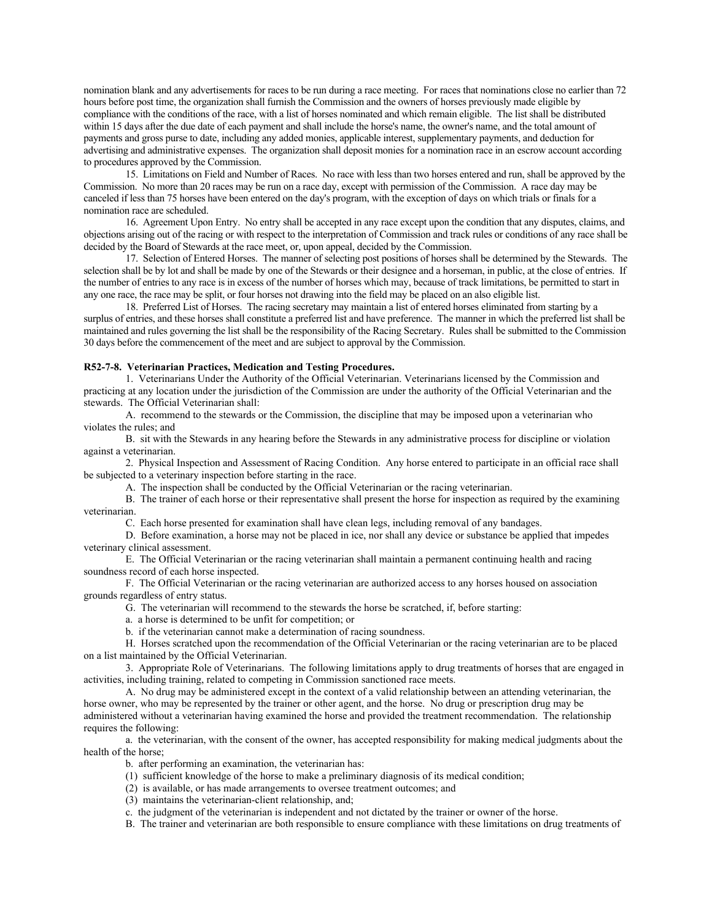nomination blank and any advertisements for races to be run during a race meeting. For races that nominations close no earlier than 72 hours before post time, the organization shall furnish the Commission and the owners of horses previously made eligible by compliance with the conditions of the race, with a list of horses nominated and which remain eligible. The list shall be distributed within 15 days after the due date of each payment and shall include the horse's name, the owner's name, and the total amount of payments and gross purse to date, including any added monies, applicable interest, supplementary payments, and deduction for advertising and administrative expenses. The organization shall deposit monies for a nomination race in an escrow account according to procedures approved by the Commission.

15. Limitations on Field and Number of Races. No race with less than two horses entered and run, shall be approved by the Commission. No more than 20 races may be run on a race day, except with permission of the Commission. A race day may be canceled if less than 75 horses have been entered on the day's program, with the exception of days on which trials or finals for a nomination race are scheduled.

16. Agreement Upon Entry. No entry shall be accepted in any race except upon the condition that any disputes, claims, and objections arising out of the racing or with respect to the interpretation of Commission and track rules or conditions of any race shall be decided by the Board of Stewards at the race meet, or, upon appeal, decided by the Commission.

17. Selection of Entered Horses. The manner of selecting post positions of horses shall be determined by the Stewards. The selection shall be by lot and shall be made by one of the Stewards or their designee and a horseman, in public, at the close of entries. If the number of entries to any race is in excess of the number of horses which may, because of track limitations, be permitted to start in any one race, the race may be split, or four horses not drawing into the field may be placed on an also eligible list.

18. Preferred List of Horses. The racing secretary may maintain a list of entered horses eliminated from starting by a surplus of entries, and these horses shall constitute a preferred list and have preference. The manner in which the preferred list shall be maintained and rules governing the list shall be the responsibility of the Racing Secretary. Rules shall be submitted to the Commission 30 days before the commencement of the meet and are subject to approval by the Commission.

### **R52-7-8. Veterinarian Practices, Medication and Testing Procedures.**

1. Veterinarians Under the Authority of the Official Veterinarian. Veterinarians licensed by the Commission and practicing at any location under the jurisdiction of the Commission are under the authority of the Official Veterinarian and the stewards. The Official Veterinarian shall:

A. recommend to the stewards or the Commission, the discipline that may be imposed upon a veterinarian who violates the rules; and

B. sit with the Stewards in any hearing before the Stewards in any administrative process for discipline or violation against a veterinarian.

2. Physical Inspection and Assessment of Racing Condition. Any horse entered to participate in an official race shall be subjected to a veterinary inspection before starting in the race.

A. The inspection shall be conducted by the Official Veterinarian or the racing veterinarian.

B. The trainer of each horse or their representative shall present the horse for inspection as required by the examining veterinarian.

C. Each horse presented for examination shall have clean legs, including removal of any bandages.

D. Before examination, a horse may not be placed in ice, nor shall any device or substance be applied that impedes veterinary clinical assessment.

E. The Official Veterinarian or the racing veterinarian shall maintain a permanent continuing health and racing soundness record of each horse inspected.

F. The Official Veterinarian or the racing veterinarian are authorized access to any horses housed on association grounds regardless of entry status.

G. The veterinarian will recommend to the stewards the horse be scratched, if, before starting:

a. a horse is determined to be unfit for competition; or

b. if the veterinarian cannot make a determination of racing soundness.

H. Horses scratched upon the recommendation of the Official Veterinarian or the racing veterinarian are to be placed on a list maintained by the Official Veterinarian.

3. Appropriate Role of Veterinarians. The following limitations apply to drug treatments of horses that are engaged in activities, including training, related to competing in Commission sanctioned race meets.

A. No drug may be administered except in the context of a valid relationship between an attending veterinarian, the horse owner, who may be represented by the trainer or other agent, and the horse. No drug or prescription drug may be administered without a veterinarian having examined the horse and provided the treatment recommendation. The relationship requires the following:

a. the veterinarian, with the consent of the owner, has accepted responsibility for making medical judgments about the health of the horse;

b. after performing an examination, the veterinarian has:

- (1) sufficient knowledge of the horse to make a preliminary diagnosis of its medical condition;
- (2) is available, or has made arrangements to oversee treatment outcomes; and

(3) maintains the veterinarian-client relationship, and;

c. the judgment of the veterinarian is independent and not dictated by the trainer or owner of the horse.

B. The trainer and veterinarian are both responsible to ensure compliance with these limitations on drug treatments of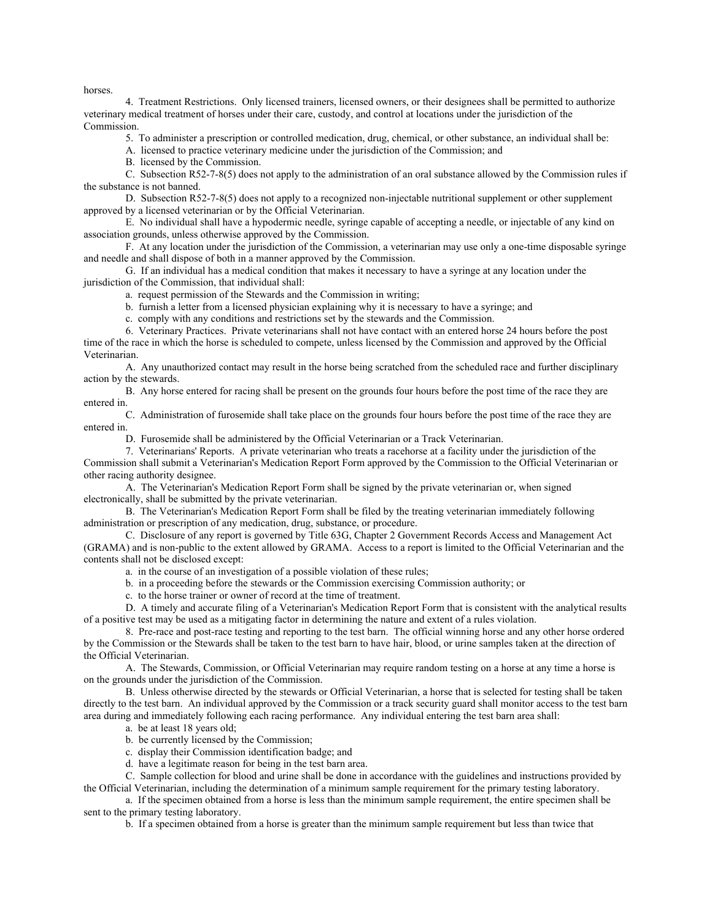horses.

4. Treatment Restrictions. Only licensed trainers, licensed owners, or their designees shall be permitted to authorize veterinary medical treatment of horses under their care, custody, and control at locations under the jurisdiction of the Commission.

5. To administer a prescription or controlled medication, drug, chemical, or other substance, an individual shall be:

A. licensed to practice veterinary medicine under the jurisdiction of the Commission; and

B. licensed by the Commission.

C. Subsection R52-7-8(5) does not apply to the administration of an oral substance allowed by the Commission rules if the substance is not banned.

D. Subsection R52-7-8(5) does not apply to a recognized non-injectable nutritional supplement or other supplement approved by a licensed veterinarian or by the Official Veterinarian.

E. No individual shall have a hypodermic needle, syringe capable of accepting a needle, or injectable of any kind on association grounds, unless otherwise approved by the Commission.

F. At any location under the jurisdiction of the Commission, a veterinarian may use only a one-time disposable syringe and needle and shall dispose of both in a manner approved by the Commission.

G. If an individual has a medical condition that makes it necessary to have a syringe at any location under the jurisdiction of the Commission, that individual shall:

a. request permission of the Stewards and the Commission in writing;

b. furnish a letter from a licensed physician explaining why it is necessary to have a syringe; and

c. comply with any conditions and restrictions set by the stewards and the Commission.

6. Veterinary Practices. Private veterinarians shall not have contact with an entered horse 24 hours before the post time of the race in which the horse is scheduled to compete, unless licensed by the Commission and approved by the Official Veterinarian.

A. Any unauthorized contact may result in the horse being scratched from the scheduled race and further disciplinary action by the stewards.

B. Any horse entered for racing shall be present on the grounds four hours before the post time of the race they are entered in.

C. Administration of furosemide shall take place on the grounds four hours before the post time of the race they are entered in.

D. Furosemide shall be administered by the Official Veterinarian or a Track Veterinarian.

7. Veterinarians' Reports. A private veterinarian who treats a racehorse at a facility under the jurisdiction of the Commission shall submit a Veterinarian's Medication Report Form approved by the Commission to the Official Veterinarian or other racing authority designee.

A. The Veterinarian's Medication Report Form shall be signed by the private veterinarian or, when signed electronically, shall be submitted by the private veterinarian.

B. The Veterinarian's Medication Report Form shall be filed by the treating veterinarian immediately following administration or prescription of any medication, drug, substance, or procedure.

C. Disclosure of any report is governed by Title 63G, Chapter 2 Government Records Access and Management Act (GRAMA) and is non-public to the extent allowed by GRAMA. Access to a report is limited to the Official Veterinarian and the contents shall not be disclosed except:

a. in the course of an investigation of a possible violation of these rules;

b. in a proceeding before the stewards or the Commission exercising Commission authority; or

c. to the horse trainer or owner of record at the time of treatment.

D. A timely and accurate filing of a Veterinarian's Medication Report Form that is consistent with the analytical results of a positive test may be used as a mitigating factor in determining the nature and extent of a rules violation.

8. Pre-race and post-race testing and reporting to the test barn. The official winning horse and any other horse ordered by the Commission or the Stewards shall be taken to the test barn to have hair, blood, or urine samples taken at the direction of the Official Veterinarian.

A. The Stewards, Commission, or Official Veterinarian may require random testing on a horse at any time a horse is on the grounds under the jurisdiction of the Commission.

B. Unless otherwise directed by the stewards or Official Veterinarian, a horse that is selected for testing shall be taken directly to the test barn. An individual approved by the Commission or a track security guard shall monitor access to the test barn area during and immediately following each racing performance. Any individual entering the test barn area shall:

- a. be at least 18 years old;
- b. be currently licensed by the Commission;
- c. display their Commission identification badge; and
- d. have a legitimate reason for being in the test barn area.

C. Sample collection for blood and urine shall be done in accordance with the guidelines and instructions provided by the Official Veterinarian, including the determination of a minimum sample requirement for the primary testing laboratory.

a. If the specimen obtained from a horse is less than the minimum sample requirement, the entire specimen shall be sent to the primary testing laboratory.

b. If a specimen obtained from a horse is greater than the minimum sample requirement but less than twice that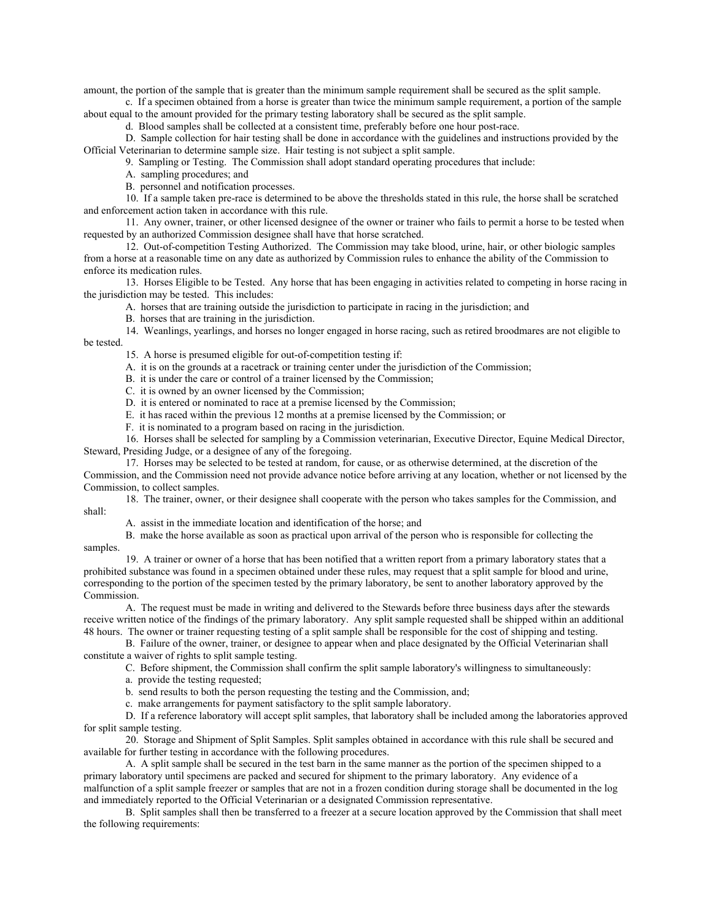amount, the portion of the sample that is greater than the minimum sample requirement shall be secured as the split sample.

c. If a specimen obtained from a horse is greater than twice the minimum sample requirement, a portion of the sample about equal to the amount provided for the primary testing laboratory shall be secured as the split sample.

d. Blood samples shall be collected at a consistent time, preferably before one hour post-race.

D. Sample collection for hair testing shall be done in accordance with the guidelines and instructions provided by the Official Veterinarian to determine sample size. Hair testing is not subject a split sample.

9. Sampling or Testing. The Commission shall adopt standard operating procedures that include:

A. sampling procedures; and

B. personnel and notification processes.

10. If a sample taken pre-race is determined to be above the thresholds stated in this rule, the horse shall be scratched and enforcement action taken in accordance with this rule.

11. Any owner, trainer, or other licensed designee of the owner or trainer who fails to permit a horse to be tested when requested by an authorized Commission designee shall have that horse scratched.

12. Out-of-competition Testing Authorized. The Commission may take blood, urine, hair, or other biologic samples from a horse at a reasonable time on any date as authorized by Commission rules to enhance the ability of the Commission to enforce its medication rules.

13. Horses Eligible to be Tested. Any horse that has been engaging in activities related to competing in horse racing in the jurisdiction may be tested. This includes:

A. horses that are training outside the jurisdiction to participate in racing in the jurisdiction; and

B. horses that are training in the jurisdiction.

14. Weanlings, yearlings, and horses no longer engaged in horse racing, such as retired broodmares are not eligible to be tested.

15. A horse is presumed eligible for out-of-competition testing if:

A. it is on the grounds at a racetrack or training center under the jurisdiction of the Commission;

B. it is under the care or control of a trainer licensed by the Commission;

C. it is owned by an owner licensed by the Commission;

D. it is entered or nominated to race at a premise licensed by the Commission;

E. it has raced within the previous 12 months at a premise licensed by the Commission; or

F. it is nominated to a program based on racing in the jurisdiction.

16. Horses shall be selected for sampling by a Commission veterinarian, Executive Director, Equine Medical Director, Steward, Presiding Judge, or a designee of any of the foregoing.

17. Horses may be selected to be tested at random, for cause, or as otherwise determined, at the discretion of the Commission, and the Commission need not provide advance notice before arriving at any location, whether or not licensed by the Commission, to collect samples.

18. The trainer, owner, or their designee shall cooperate with the person who takes samples for the Commission, and shall:

A. assist in the immediate location and identification of the horse; and

B. make the horse available as soon as practical upon arrival of the person who is responsible for collecting the samples.

19. A trainer or owner of a horse that has been notified that a written report from a primary laboratory states that a prohibited substance was found in a specimen obtained under these rules, may request that a split sample for blood and urine, corresponding to the portion of the specimen tested by the primary laboratory, be sent to another laboratory approved by the Commission.

A. The request must be made in writing and delivered to the Stewards before three business days after the stewards receive written notice of the findings of the primary laboratory. Any split sample requested shall be shipped within an additional 48 hours. The owner or trainer requesting testing of a split sample shall be responsible for the cost of shipping and testing.

B. Failure of the owner, trainer, or designee to appear when and place designated by the Official Veterinarian shall constitute a waiver of rights to split sample testing.

C. Before shipment, the Commission shall confirm the split sample laboratory's willingness to simultaneously:

a. provide the testing requested;

b. send results to both the person requesting the testing and the Commission, and;

c. make arrangements for payment satisfactory to the split sample laboratory.

D. If a reference laboratory will accept split samples, that laboratory shall be included among the laboratories approved for split sample testing.

20. Storage and Shipment of Split Samples. Split samples obtained in accordance with this rule shall be secured and available for further testing in accordance with the following procedures.

A. A split sample shall be secured in the test barn in the same manner as the portion of the specimen shipped to a primary laboratory until specimens are packed and secured for shipment to the primary laboratory. Any evidence of a malfunction of a split sample freezer or samples that are not in a frozen condition during storage shall be documented in the log and immediately reported to the Official Veterinarian or a designated Commission representative.

B. Split samples shall then be transferred to a freezer at a secure location approved by the Commission that shall meet the following requirements: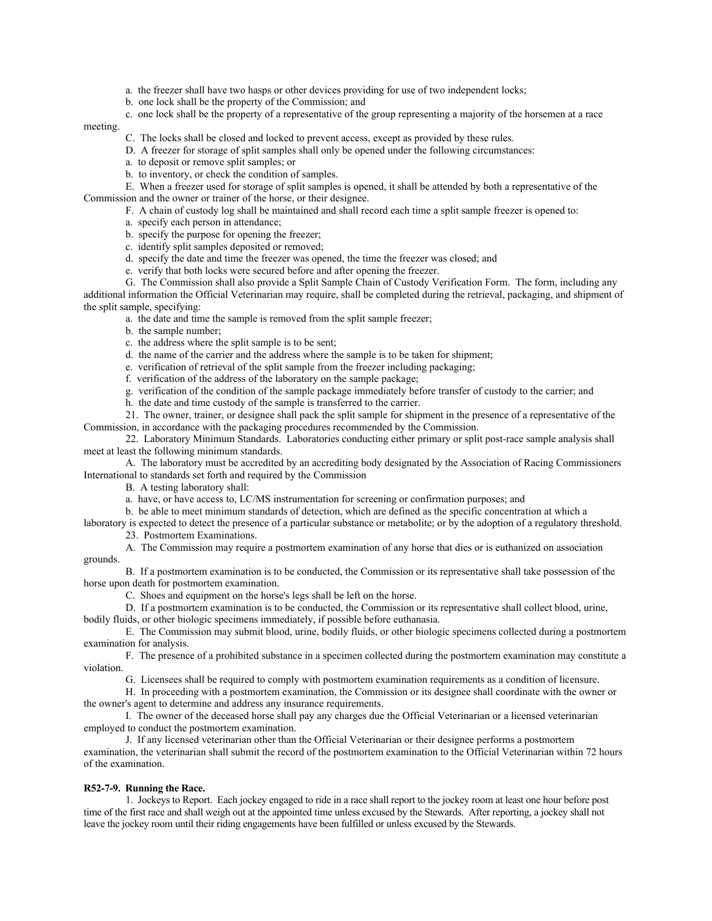- a. the freezer shall have two hasps or other devices providing for use of two independent locks;
- b. one lock shall be the property of the Commission; and
- c. one lock shall be the property of a representative of the group representing a majority of the horsemen at a race

## meeting.

C. The locks shall be closed and locked to prevent access, except as provided by these rules.

D. A freezer for storage of split samples shall only be opened under the following circumstances:

- a. to deposit or remove split samples; or
- b. to inventory, or check the condition of samples.

E. When a freezer used for storage of split samples is opened, it shall be attended by both a representative of the Commission and the owner or trainer of the horse, or their designee.

- F. A chain of custody log shall be maintained and shall record each time a split sample freezer is opened to:
- a. specify each person in attendance;
- b. specify the purpose for opening the freezer;
- c. identify split samples deposited or removed;
- d. specify the date and time the freezer was opened, the time the freezer was closed; and
- e. verify that both locks were secured before and after opening the freezer.

G. The Commission shall also provide a Split Sample Chain of Custody Verification Form. The form, including any additional information the Official Veterinarian may require, shall be completed during the retrieval, packaging, and shipment of the split sample, specifying:

a. the date and time the sample is removed from the split sample freezer;

- b. the sample number;
- c. the address where the split sample is to be sent;
- d. the name of the carrier and the address where the sample is to be taken for shipment;
- e. verification of retrieval of the split sample from the freezer including packaging;
- f. verification of the address of the laboratory on the sample package;
- g. verification of the condition of the sample package immediately before transfer of custody to the carrier; and
- h. the date and time custody of the sample is transferred to the carrier.

21. The owner, trainer, or designee shall pack the split sample for shipment in the presence of a representative of the Commission, in accordance with the packaging procedures recommended by the Commission.

22. Laboratory Minimum Standards. Laboratories conducting either primary or split post-race sample analysis shall meet at least the following minimum standards.

A. The laboratory must be accredited by an accrediting body designated by the Association of Racing Commissioners International to standards set forth and required by the Commission

B. A testing laboratory shall:

- a. have, or have access to, LC/MS instrumentation for screening or confirmation purposes; and
- b. be able to meet minimum standards of detection, which are defined as the specific concentration at which a

laboratory is expected to detect the presence of a particular substance or metabolite; or by the adoption of a regulatory threshold. 23. Postmortem Examinations.

A. The Commission may require a postmortem examination of any horse that dies or is euthanized on association grounds.

B. If a postmortem examination is to be conducted, the Commission or its representative shall take possession of the horse upon death for postmortem examination.

C. Shoes and equipment on the horse's legs shall be left on the horse.

D. If a postmortem examination is to be conducted, the Commission or its representative shall collect blood, urine, bodily fluids, or other biologic specimens immediately, if possible before euthanasia.

E. The Commission may submit blood, urine, bodily fluids, or other biologic specimens collected during a postmortem examination for analysis.

F. The presence of a prohibited substance in a specimen collected during the postmortem examination may constitute a violation.

G. Licensees shall be required to comply with postmortem examination requirements as a condition of licensure.

H. In proceeding with a postmortem examination, the Commission or its designee shall coordinate with the owner or the owner's agent to determine and address any insurance requirements.

I. The owner of the deceased horse shall pay any charges due the Official Veterinarian or a licensed veterinarian employed to conduct the postmortem examination.

J. If any licensed veterinarian other than the Official Veterinarian or their designee performs a postmortem examination, the veterinarian shall submit the record of the postmortem examination to the Official Veterinarian within 72 hours of the examination.

#### **R52-7-9. Running the Race.**

1. Jockeys to Report. Each jockey engaged to ride in a race shall report to the jockey room at least one hour before post time of the first race and shall weigh out at the appointed time unless excused by the Stewards. After reporting, a jockey shall not leave the jockey room until their riding engagements have been fulfilled or unless excused by the Stewards.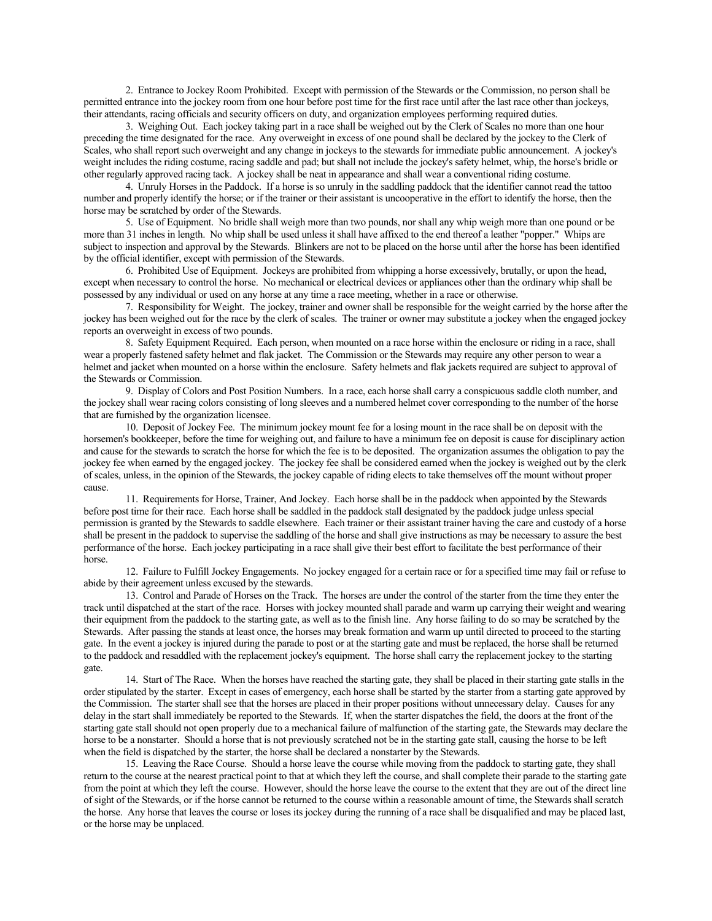2. Entrance to Jockey Room Prohibited. Except with permission of the Stewards or the Commission, no person shall be permitted entrance into the jockey room from one hour before post time for the first race until after the last race other than jockeys, their attendants, racing officials and security officers on duty, and organization employees performing required duties.

3. Weighing Out. Each jockey taking part in a race shall be weighed out by the Clerk of Scales no more than one hour preceding the time designated for the race. Any overweight in excess of one pound shall be declared by the jockey to the Clerk of Scales, who shall report such overweight and any change in jockeys to the stewards for immediate public announcement. A jockey's weight includes the riding costume, racing saddle and pad; but shall not include the jockey's safety helmet, whip, the horse's bridle or other regularly approved racing tack. A jockey shall be neat in appearance and shall wear a conventional riding costume.

4. Unruly Horses in the Paddock. If a horse is so unruly in the saddling paddock that the identifier cannot read the tattoo number and properly identify the horse; or if the trainer or their assistant is uncooperative in the effort to identify the horse, then the horse may be scratched by order of the Stewards.

5. Use of Equipment. No bridle shall weigh more than two pounds, nor shall any whip weigh more than one pound or be more than 31 inches in length. No whip shall be used unless it shall have affixed to the end thereof a leather "popper." Whips are subject to inspection and approval by the Stewards. Blinkers are not to be placed on the horse until after the horse has been identified by the official identifier, except with permission of the Stewards.

6. Prohibited Use of Equipment. Jockeys are prohibited from whipping a horse excessively, brutally, or upon the head, except when necessary to control the horse. No mechanical or electrical devices or appliances other than the ordinary whip shall be possessed by any individual or used on any horse at any time a race meeting, whether in a race or otherwise.

7. Responsibility for Weight. The jockey, trainer and owner shall be responsible for the weight carried by the horse after the jockey has been weighed out for the race by the clerk of scales. The trainer or owner may substitute a jockey when the engaged jockey reports an overweight in excess of two pounds.

8. Safety Equipment Required. Each person, when mounted on a race horse within the enclosure or riding in a race, shall wear a properly fastened safety helmet and flak jacket. The Commission or the Stewards may require any other person to wear a helmet and jacket when mounted on a horse within the enclosure. Safety helmets and flak jackets required are subject to approval of the Stewards or Commission.

9. Display of Colors and Post Position Numbers. In a race, each horse shall carry a conspicuous saddle cloth number, and the jockey shall wear racing colors consisting of long sleeves and a numbered helmet cover corresponding to the number of the horse that are furnished by the organization licensee.

10. Deposit of Jockey Fee. The minimum jockey mount fee for a losing mount in the race shall be on deposit with the horsemen's bookkeeper, before the time for weighing out, and failure to have a minimum fee on deposit is cause for disciplinary action and cause for the stewards to scratch the horse for which the fee is to be deposited. The organization assumes the obligation to pay the jockey fee when earned by the engaged jockey. The jockey fee shall be considered earned when the jockey is weighed out by the clerk of scales, unless, in the opinion of the Stewards, the jockey capable of riding elects to take themselves off the mount without proper cause.

11. Requirements for Horse, Trainer, And Jockey. Each horse shall be in the paddock when appointed by the Stewards before post time for their race. Each horse shall be saddled in the paddock stall designated by the paddock judge unless special permission is granted by the Stewards to saddle elsewhere. Each trainer or their assistant trainer having the care and custody of a horse shall be present in the paddock to supervise the saddling of the horse and shall give instructions as may be necessary to assure the best performance of the horse. Each jockey participating in a race shall give their best effort to facilitate the best performance of their horse.

12. Failure to Fulfill Jockey Engagements. No jockey engaged for a certain race or for a specified time may fail or refuse to abide by their agreement unless excused by the stewards.

13. Control and Parade of Horses on the Track. The horses are under the control of the starter from the time they enter the track until dispatched at the start of the race. Horses with jockey mounted shall parade and warm up carrying their weight and wearing their equipment from the paddock to the starting gate, as well as to the finish line. Any horse failing to do so may be scratched by the Stewards. After passing the stands at least once, the horses may break formation and warm up until directed to proceed to the starting gate. In the event a jockey is injured during the parade to post or at the starting gate and must be replaced, the horse shall be returned to the paddock and resaddled with the replacement jockey's equipment. The horse shall carry the replacement jockey to the starting gate.

14. Start of The Race. When the horses have reached the starting gate, they shall be placed in their starting gate stalls in the order stipulated by the starter. Except in cases of emergency, each horse shall be started by the starter from a starting gate approved by the Commission. The starter shall see that the horses are placed in their proper positions without unnecessary delay. Causes for any delay in the start shall immediately be reported to the Stewards. If, when the starter dispatches the field, the doors at the front of the starting gate stall should not open properly due to a mechanical failure of malfunction of the starting gate, the Stewards may declare the horse to be a nonstarter. Should a horse that is not previously scratched not be in the starting gate stall, causing the horse to be left when the field is dispatched by the starter, the horse shall be declared a nonstarter by the Stewards.

15. Leaving the Race Course. Should a horse leave the course while moving from the paddock to starting gate, they shall return to the course at the nearest practical point to that at which they left the course, and shall complete their parade to the starting gate from the point at which they left the course. However, should the horse leave the course to the extent that they are out of the direct line of sight of the Stewards, or if the horse cannot be returned to the course within a reasonable amount of time, the Stewards shall scratch the horse. Any horse that leaves the course or loses its jockey during the running of a race shall be disqualified and may be placed last, or the horse may be unplaced.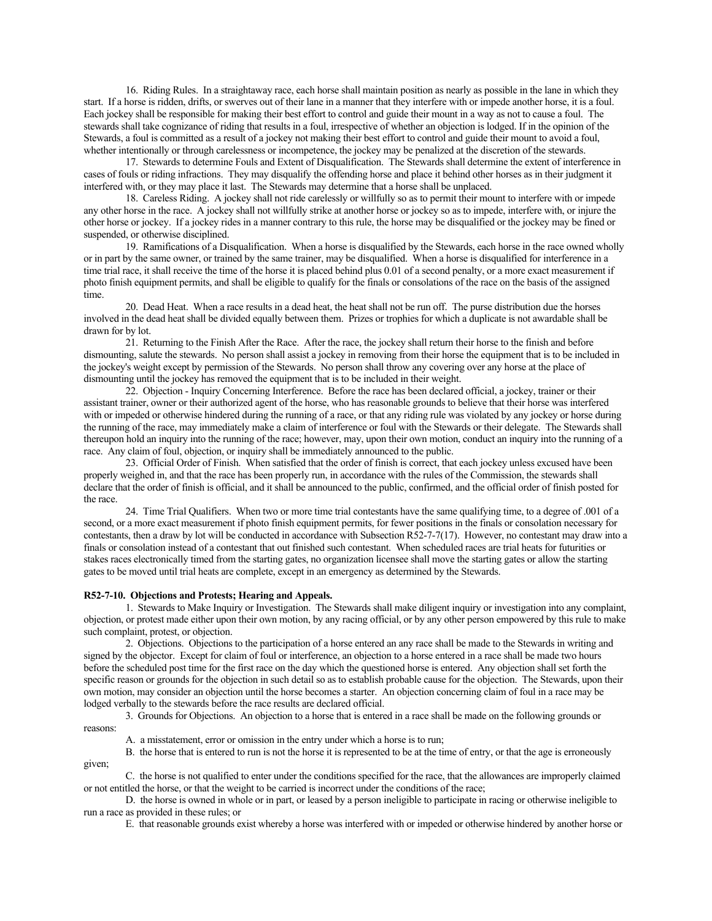16. Riding Rules. In a straightaway race, each horse shall maintain position as nearly as possible in the lane in which they start. If a horse is ridden, drifts, or swerves out of their lane in a manner that they interfere with or impede another horse, it is a foul. Each jockey shall be responsible for making their best effort to control and guide their mount in a way as not to cause a foul. The stewards shall take cognizance of riding that results in a foul, irrespective of whether an objection is lodged. If in the opinion of the Stewards, a foul is committed as a result of a jockey not making their best effort to control and guide their mount to avoid a foul, whether intentionally or through carelessness or incompetence, the jockey may be penalized at the discretion of the stewards.

17. Stewards to determine Fouls and Extent of Disqualification. The Stewards shall determine the extent of interference in cases of fouls or riding infractions. They may disqualify the offending horse and place it behind other horses as in their judgment it interfered with, or they may place it last. The Stewards may determine that a horse shall be unplaced.

18. Careless Riding. A jockey shall not ride carelessly or willfully so as to permit their mount to interfere with or impede any other horse in the race. A jockey shall not willfully strike at another horse or jockey so as to impede, interfere with, or injure the other horse or jockey. If a jockey rides in a manner contrary to this rule, the horse may be disqualified or the jockey may be fined or suspended, or otherwise disciplined.

19. Ramifications of a Disqualification. When a horse is disqualified by the Stewards, each horse in the race owned wholly or in part by the same owner, or trained by the same trainer, may be disqualified. When a horse is disqualified for interference in a time trial race, it shall receive the time of the horse it is placed behind plus 0.01 of a second penalty, or a more exact measurement if photo finish equipment permits, and shall be eligible to qualify for the finals or consolations of the race on the basis of the assigned time.

20. Dead Heat. When a race results in a dead heat, the heat shall not be run off. The purse distribution due the horses involved in the dead heat shall be divided equally between them. Prizes or trophies for which a duplicate is not awardable shall be drawn for by lot.

21. Returning to the Finish After the Race. After the race, the jockey shall return their horse to the finish and before dismounting, salute the stewards. No person shall assist a jockey in removing from their horse the equipment that is to be included in the jockey's weight except by permission of the Stewards. No person shall throw any covering over any horse at the place of dismounting until the jockey has removed the equipment that is to be included in their weight.

22. Objection - Inquiry Concerning Interference. Before the race has been declared official, a jockey, trainer or their assistant trainer, owner or their authorized agent of the horse, who has reasonable grounds to believe that their horse was interfered with or impeded or otherwise hindered during the running of a race, or that any riding rule was violated by any jockey or horse during the running of the race, may immediately make a claim of interference or foul with the Stewards or their delegate. The Stewards shall thereupon hold an inquiry into the running of the race; however, may, upon their own motion, conduct an inquiry into the running of a race. Any claim of foul, objection, or inquiry shall be immediately announced to the public.

23. Official Order of Finish. When satisfied that the order of finish is correct, that each jockey unless excused have been properly weighed in, and that the race has been properly run, in accordance with the rules of the Commission, the stewards shall declare that the order of finish is official, and it shall be announced to the public, confirmed, and the official order of finish posted for the race.

24. Time Trial Qualifiers. When two or more time trial contestants have the same qualifying time, to a degree of .001 of a second, or a more exact measurement if photo finish equipment permits, for fewer positions in the finals or consolation necessary for contestants, then a draw by lot will be conducted in accordance with Subsection R52-7-7(17). However, no contestant may draw into a finals or consolation instead of a contestant that out finished such contestant. When scheduled races are trial heats for futurities or stakes races electronically timed from the starting gates, no organization licensee shall move the starting gates or allow the starting gates to be moved until trial heats are complete, except in an emergency as determined by the Stewards.

## **R52-7-10. Objections and Protests; Hearing and Appeals.**

1. Stewards to Make Inquiry or Investigation. The Stewards shall make diligent inquiry or investigation into any complaint, objection, or protest made either upon their own motion, by any racing official, or by any other person empowered by this rule to make such complaint, protest, or objection.

2. Objections. Objections to the participation of a horse entered an any race shall be made to the Stewards in writing and signed by the objector. Except for claim of foul or interference, an objection to a horse entered in a race shall be made two hours before the scheduled post time for the first race on the day which the questioned horse is entered. Any objection shall set forth the specific reason or grounds for the objection in such detail so as to establish probable cause for the objection. The Stewards, upon their own motion, may consider an objection until the horse becomes a starter. An objection concerning claim of foul in a race may be lodged verbally to the stewards before the race results are declared official.

3. Grounds for Objections. An objection to a horse that is entered in a race shall be made on the following grounds or reasons:

A. a misstatement, error or omission in the entry under which a horse is to run;

B. the horse that is entered to run is not the horse it is represented to be at the time of entry, or that the age is erroneously given;

C. the horse is not qualified to enter under the conditions specified for the race, that the allowances are improperly claimed or not entitled the horse, or that the weight to be carried is incorrect under the conditions of the race;

D. the horse is owned in whole or in part, or leased by a person ineligible to participate in racing or otherwise ineligible to run a race as provided in these rules; or

E. that reasonable grounds exist whereby a horse was interfered with or impeded or otherwise hindered by another horse or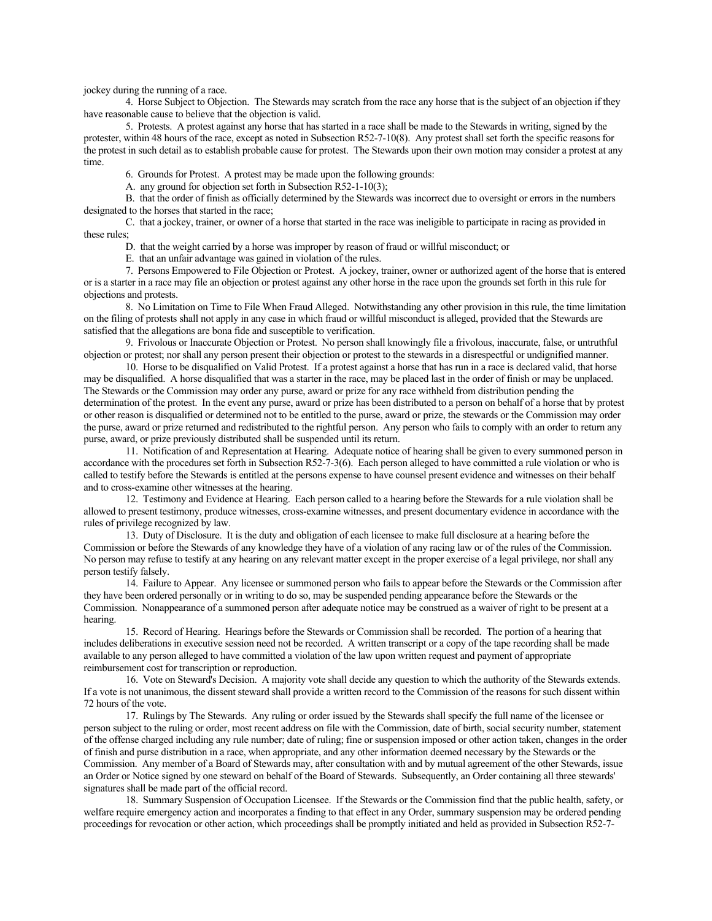jockey during the running of a race.

4. Horse Subject to Objection. The Stewards may scratch from the race any horse that is the subject of an objection if they have reasonable cause to believe that the objection is valid.

5. Protests. A protest against any horse that has started in a race shall be made to the Stewards in writing, signed by the protester, within 48 hours of the race, except as noted in Subsection R52-7-10(8). Any protest shall set forth the specific reasons for the protest in such detail as to establish probable cause for protest. The Stewards upon their own motion may consider a protest at any time.

6. Grounds for Protest. A protest may be made upon the following grounds:

A. any ground for objection set forth in Subsection R52-1-10(3);

B. that the order of finish as officially determined by the Stewards was incorrect due to oversight or errors in the numbers designated to the horses that started in the race;

C. that a jockey, trainer, or owner of a horse that started in the race was ineligible to participate in racing as provided in these rules;

D. that the weight carried by a horse was improper by reason of fraud or willful misconduct; or

E. that an unfair advantage was gained in violation of the rules.

7. Persons Empowered to File Objection or Protest. A jockey, trainer, owner or authorized agent of the horse that is entered or is a starter in a race may file an objection or protest against any other horse in the race upon the grounds set forth in this rule for objections and protests.

8. No Limitation on Time to File When Fraud Alleged. Notwithstanding any other provision in this rule, the time limitation on the filing of protests shall not apply in any case in which fraud or willful misconduct is alleged, provided that the Stewards are satisfied that the allegations are bona fide and susceptible to verification.

9. Frivolous or Inaccurate Objection or Protest. No person shall knowingly file a frivolous, inaccurate, false, or untruthful objection or protest; nor shall any person present their objection or protest to the stewards in a disrespectful or undignified manner.

10. Horse to be disqualified on Valid Protest. If a protest against a horse that has run in a race is declared valid, that horse may be disqualified. A horse disqualified that was a starter in the race, may be placed last in the order of finish or may be unplaced. The Stewards or the Commission may order any purse, award or prize for any race withheld from distribution pending the determination of the protest. In the event any purse, award or prize has been distributed to a person on behalf of a horse that by protest or other reason is disqualified or determined not to be entitled to the purse, award or prize, the stewards or the Commission may order the purse, award or prize returned and redistributed to the rightful person. Any person who fails to comply with an order to return any purse, award, or prize previously distributed shall be suspended until its return.

11. Notification of and Representation at Hearing. Adequate notice of hearing shall be given to every summoned person in accordance with the procedures set forth in Subsection R52-7-3(6). Each person alleged to have committed a rule violation or who is called to testify before the Stewards is entitled at the persons expense to have counsel present evidence and witnesses on their behalf and to cross-examine other witnesses at the hearing.

12. Testimony and Evidence at Hearing. Each person called to a hearing before the Stewards for a rule violation shall be allowed to present testimony, produce witnesses, cross-examine witnesses, and present documentary evidence in accordance with the rules of privilege recognized by law.

13. Duty of Disclosure. It is the duty and obligation of each licensee to make full disclosure at a hearing before the Commission or before the Stewards of any knowledge they have of a violation of any racing law or of the rules of the Commission. No person may refuse to testify at any hearing on any relevant matter except in the proper exercise of a legal privilege, nor shall any person testify falsely.

14. Failure to Appear. Any licensee or summoned person who fails to appear before the Stewards or the Commission after they have been ordered personally or in writing to do so, may be suspended pending appearance before the Stewards or the Commission. Nonappearance of a summoned person after adequate notice may be construed as a waiver of right to be present at a hearing.

15. Record of Hearing. Hearings before the Stewards or Commission shall be recorded. The portion of a hearing that includes deliberations in executive session need not be recorded. A written transcript or a copy of the tape recording shall be made available to any person alleged to have committed a violation of the law upon written request and payment of appropriate reimbursement cost for transcription or reproduction.

16. Vote on Steward's Decision. A majority vote shall decide any question to which the authority of the Stewards extends. If a vote is not unanimous, the dissent steward shall provide a written record to the Commission of the reasons for such dissent within 72 hours of the vote.

17. Rulings by The Stewards. Any ruling or order issued by the Stewards shall specify the full name of the licensee or person subject to the ruling or order, most recent address on file with the Commission, date of birth, social security number, statement of the offense charged including any rule number; date of ruling; fine or suspension imposed or other action taken, changes in the order of finish and purse distribution in a race, when appropriate, and any other information deemed necessary by the Stewards or the Commission. Any member of a Board of Stewards may, after consultation with and by mutual agreement of the other Stewards, issue an Order or Notice signed by one steward on behalf of the Board of Stewards. Subsequently, an Order containing all three stewards' signatures shall be made part of the official record.

18. Summary Suspension of Occupation Licensee. If the Stewards or the Commission find that the public health, safety, or welfare require emergency action and incorporates a finding to that effect in any Order, summary suspension may be ordered pending proceedings for revocation or other action, which proceedings shall be promptly initiated and held as provided in Subsection R52-7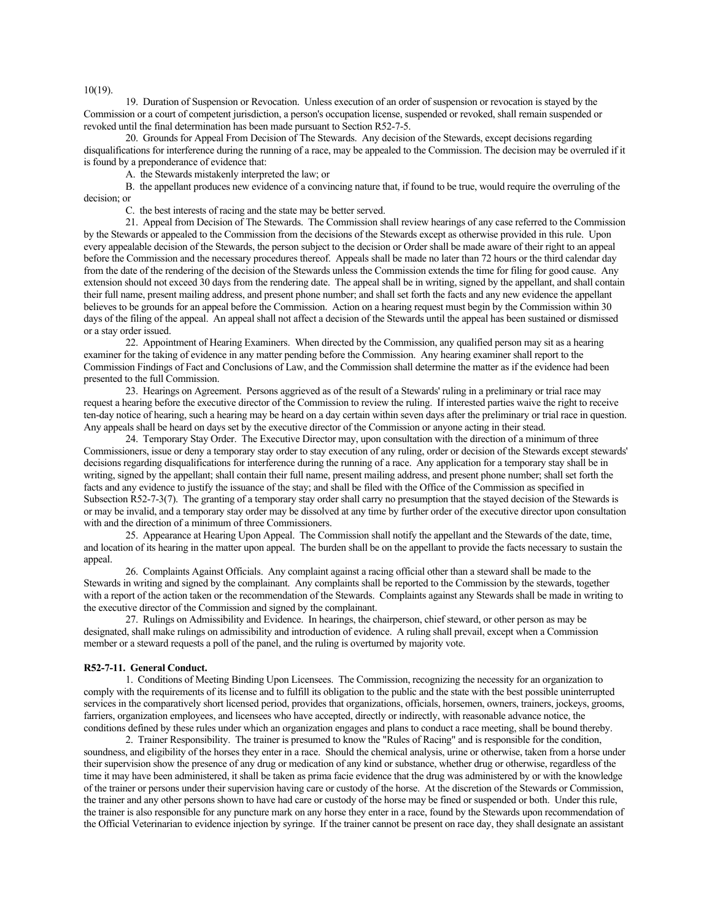10(19).

19. Duration of Suspension or Revocation. Unless execution of an order of suspension or revocation is stayed by the Commission or a court of competent jurisdiction, a person's occupation license, suspended or revoked, shall remain suspended or revoked until the final determination has been made pursuant to Section R52-7-5.

20. Grounds for Appeal From Decision of The Stewards. Any decision of the Stewards, except decisions regarding disqualifications for interference during the running of a race, may be appealed to the Commission. The decision may be overruled if it is found by a preponderance of evidence that:

A. the Stewards mistakenly interpreted the law; or

B. the appellant produces new evidence of a convincing nature that, if found to be true, would require the overruling of the decision; or

C. the best interests of racing and the state may be better served.

21. Appeal from Decision of The Stewards. The Commission shall review hearings of any case referred to the Commission by the Stewards or appealed to the Commission from the decisions of the Stewards except as otherwise provided in this rule. Upon every appealable decision of the Stewards, the person subject to the decision or Order shall be made aware of their right to an appeal before the Commission and the necessary procedures thereof. Appeals shall be made no later than 72 hours or the third calendar day from the date of the rendering of the decision of the Stewards unless the Commission extends the time for filing for good cause. Any extension should not exceed 30 days from the rendering date. The appeal shall be in writing, signed by the appellant, and shall contain their full name, present mailing address, and present phone number; and shall set forth the facts and any new evidence the appellant believes to be grounds for an appeal before the Commission. Action on a hearing request must begin by the Commission within 30 days of the filing of the appeal. An appeal shall not affect a decision of the Stewards until the appeal has been sustained or dismissed or a stay order issued.

22. Appointment of Hearing Examiners. When directed by the Commission, any qualified person may sit as a hearing examiner for the taking of evidence in any matter pending before the Commission. Any hearing examiner shall report to the Commission Findings of Fact and Conclusions of Law, and the Commission shall determine the matter as if the evidence had been presented to the full Commission.

23. Hearings on Agreement. Persons aggrieved as of the result of a Stewards' ruling in a preliminary or trial race may request a hearing before the executive director of the Commission to review the ruling. If interested parties waive the right to receive ten-day notice of hearing, such a hearing may be heard on a day certain within seven days after the preliminary or trial race in question. Any appeals shall be heard on days set by the executive director of the Commission or anyone acting in their stead.

24. Temporary Stay Order. The Executive Director may, upon consultation with the direction of a minimum of three Commissioners, issue or deny a temporary stay order to stay execution of any ruling, order or decision of the Stewards except stewards' decisions regarding disqualifications for interference during the running of a race. Any application for a temporary stay shall be in writing, signed by the appellant; shall contain their full name, present mailing address, and present phone number; shall set forth the facts and any evidence to justify the issuance of the stay; and shall be filed with the Office of the Commission as specified in Subsection R52-7-3(7). The granting of a temporary stay order shall carry no presumption that the stayed decision of the Stewards is or may be invalid, and a temporary stay order may be dissolved at any time by further order of the executive director upon consultation with and the direction of a minimum of three Commissioners.

25. Appearance at Hearing Upon Appeal. The Commission shall notify the appellant and the Stewards of the date, time, and location of its hearing in the matter upon appeal. The burden shall be on the appellant to provide the facts necessary to sustain the appeal.

26. Complaints Against Officials. Any complaint against a racing official other than a steward shall be made to the Stewards in writing and signed by the complainant. Any complaints shall be reported to the Commission by the stewards, together with a report of the action taken or the recommendation of the Stewards. Complaints against any Stewards shall be made in writing to the executive director of the Commission and signed by the complainant.

27. Rulings on Admissibility and Evidence. In hearings, the chairperson, chief steward, or other person as may be designated, shall make rulings on admissibility and introduction of evidence. A ruling shall prevail, except when a Commission member or a steward requests a poll of the panel, and the ruling is overturned by majority vote.

#### **R52-7-11. General Conduct.**

1. Conditions of Meeting Binding Upon Licensees. The Commission, recognizing the necessity for an organization to comply with the requirements of its license and to fulfill its obligation to the public and the state with the best possible uninterrupted services in the comparatively short licensed period, provides that organizations, officials, horsemen, owners, trainers, jockeys, grooms, farriers, organization employees, and licensees who have accepted, directly or indirectly, with reasonable advance notice, the conditions defined by these rules under which an organization engages and plans to conduct a race meeting, shall be bound thereby.

2. Trainer Responsibility. The trainer is presumed to know the "Rules of Racing" and is responsible for the condition, soundness, and eligibility of the horses they enter in a race. Should the chemical analysis, urine or otherwise, taken from a horse under their supervision show the presence of any drug or medication of any kind or substance, whether drug or otherwise, regardless of the time it may have been administered, it shall be taken as prima facie evidence that the drug was administered by or with the knowledge of the trainer or persons under their supervision having care or custody of the horse. At the discretion of the Stewards or Commission, the trainer and any other persons shown to have had care or custody of the horse may be fined or suspended or both. Under this rule, the trainer is also responsible for any puncture mark on any horse they enter in a race, found by the Stewards upon recommendation of the Official Veterinarian to evidence injection by syringe. If the trainer cannot be present on race day, they shall designate an assistant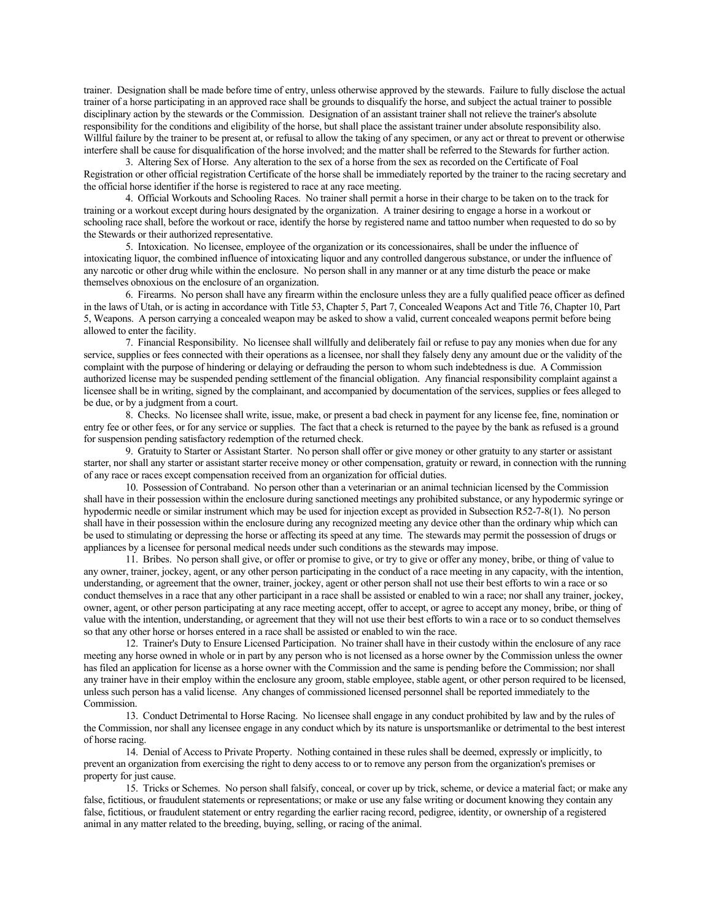trainer. Designation shall be made before time of entry, unless otherwise approved by the stewards. Failure to fully disclose the actual trainer of a horse participating in an approved race shall be grounds to disqualify the horse, and subject the actual trainer to possible disciplinary action by the stewards or the Commission. Designation of an assistant trainer shall not relieve the trainer's absolute responsibility for the conditions and eligibility of the horse, but shall place the assistant trainer under absolute responsibility also. Willful failure by the trainer to be present at, or refusal to allow the taking of any specimen, or any act or threat to prevent or otherwise interfere shall be cause for disqualification of the horse involved; and the matter shall be referred to the Stewards for further action.

3. Altering Sex of Horse. Any alteration to the sex of a horse from the sex as recorded on the Certificate of Foal Registration or other official registration Certificate of the horse shall be immediately reported by the trainer to the racing secretary and the official horse identifier if the horse is registered to race at any race meeting.

4. Official Workouts and Schooling Races. No trainer shall permit a horse in their charge to be taken on to the track for training or a workout except during hours designated by the organization. A trainer desiring to engage a horse in a workout or schooling race shall, before the workout or race, identify the horse by registered name and tattoo number when requested to do so by the Stewards or their authorized representative.

5. Intoxication. No licensee, employee of the organization or its concessionaires, shall be under the influence of intoxicating liquor, the combined influence of intoxicating liquor and any controlled dangerous substance, or under the influence of any narcotic or other drug while within the enclosure. No person shall in any manner or at any time disturb the peace or make themselves obnoxious on the enclosure of an organization.

6. Firearms. No person shall have any firearm within the enclosure unless they are a fully qualified peace officer as defined in the laws of Utah, or is acting in accordance with Title 53, Chapter 5, Part 7, Concealed Weapons Act and Title 76, Chapter 10, Part 5, Weapons. A person carrying a concealed weapon may be asked to show a valid, current concealed weapons permit before being allowed to enter the facility.

7. Financial Responsibility. No licensee shall willfully and deliberately fail or refuse to pay any monies when due for any service, supplies or fees connected with their operations as a licensee, nor shall they falsely deny any amount due or the validity of the complaint with the purpose of hindering or delaying or defrauding the person to whom such indebtedness is due. A Commission authorized license may be suspended pending settlement of the financial obligation. Any financial responsibility complaint against a licensee shall be in writing, signed by the complainant, and accompanied by documentation of the services, supplies or fees alleged to be due, or by a judgment from a court.

8. Checks. No licensee shall write, issue, make, or present a bad check in payment for any license fee, fine, nomination or entry fee or other fees, or for any service or supplies. The fact that a check is returned to the payee by the bank as refused is a ground for suspension pending satisfactory redemption of the returned check.

9. Gratuity to Starter or Assistant Starter. No person shall offer or give money or other gratuity to any starter or assistant starter, nor shall any starter or assistant starter receive money or other compensation, gratuity or reward, in connection with the running of any race or races except compensation received from an organization for official duties.

10. Possession of Contraband. No person other than a veterinarian or an animal technician licensed by the Commission shall have in their possession within the enclosure during sanctioned meetings any prohibited substance, or any hypodermic syringe or hypodermic needle or similar instrument which may be used for injection except as provided in Subsection R52-7-8(1). No person shall have in their possession within the enclosure during any recognized meeting any device other than the ordinary whip which can be used to stimulating or depressing the horse or affecting its speed at any time. The stewards may permit the possession of drugs or appliances by a licensee for personal medical needs under such conditions as the stewards may impose.

11. Bribes. No person shall give, or offer or promise to give, or try to give or offer any money, bribe, or thing of value to any owner, trainer, jockey, agent, or any other person participating in the conduct of a race meeting in any capacity, with the intention, understanding, or agreement that the owner, trainer, jockey, agent or other person shall not use their best efforts to win a race or so conduct themselves in a race that any other participant in a race shall be assisted or enabled to win a race; nor shall any trainer, jockey, owner, agent, or other person participating at any race meeting accept, offer to accept, or agree to accept any money, bribe, or thing of value with the intention, understanding, or agreement that they will not use their best efforts to win a race or to so conduct themselves so that any other horse or horses entered in a race shall be assisted or enabled to win the race.

12. Trainer's Duty to Ensure Licensed Participation. No trainer shall have in their custody within the enclosure of any race meeting any horse owned in whole or in part by any person who is not licensed as a horse owner by the Commission unless the owner has filed an application for license as a horse owner with the Commission and the same is pending before the Commission; nor shall any trainer have in their employ within the enclosure any groom, stable employee, stable agent, or other person required to be licensed, unless such person has a valid license. Any changes of commissioned licensed personnel shall be reported immediately to the Commission.

13. Conduct Detrimental to Horse Racing. No licensee shall engage in any conduct prohibited by law and by the rules of the Commission, nor shall any licensee engage in any conduct which by its nature is unsportsmanlike or detrimental to the best interest of horse racing.

14. Denial of Access to Private Property. Nothing contained in these rules shall be deemed, expressly or implicitly, to prevent an organization from exercising the right to deny access to or to remove any person from the organization's premises or property for just cause.

15. Tricks or Schemes. No person shall falsify, conceal, or cover up by trick, scheme, or device a material fact; or make any false, fictitious, or fraudulent statements or representations; or make or use any false writing or document knowing they contain any false, fictitious, or fraudulent statement or entry regarding the earlier racing record, pedigree, identity, or ownership of a registered animal in any matter related to the breeding, buying, selling, or racing of the animal.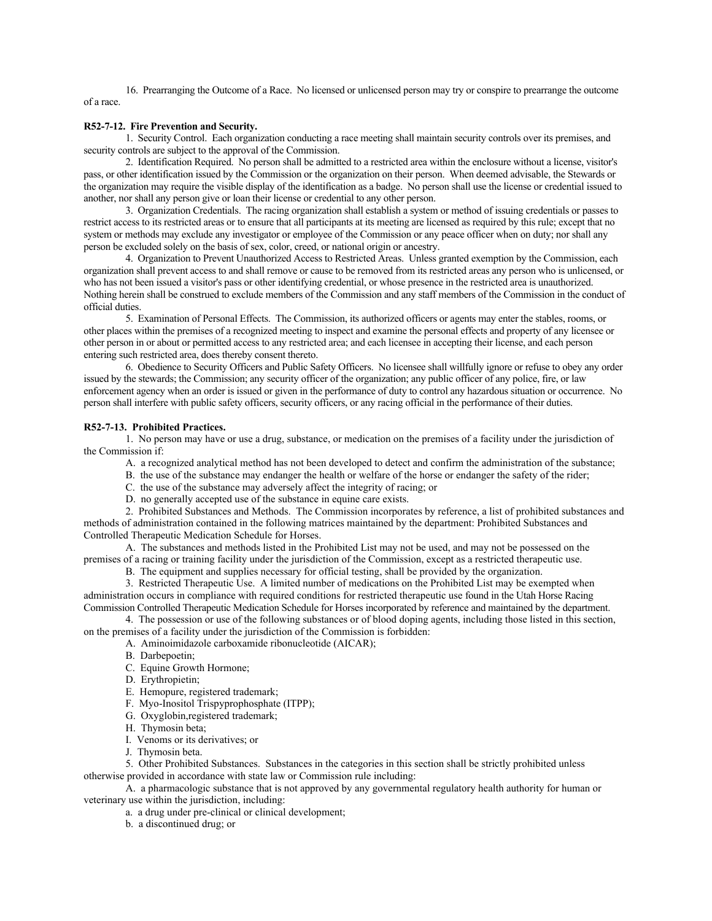16. Prearranging the Outcome of a Race. No licensed or unlicensed person may try or conspire to prearrange the outcome of a race.

### **R52-7-12. Fire Prevention and Security.**

1. Security Control. Each organization conducting a race meeting shall maintain security controls over its premises, and security controls are subject to the approval of the Commission.

2. Identification Required. No person shall be admitted to a restricted area within the enclosure without a license, visitor's pass, or other identification issued by the Commission or the organization on their person. When deemed advisable, the Stewards or the organization may require the visible display of the identification as a badge. No person shall use the license or credential issued to another, nor shall any person give or loan their license or credential to any other person.

3. Organization Credentials. The racing organization shall establish a system or method of issuing credentials or passes to restrict access to its restricted areas or to ensure that all participants at its meeting are licensed as required by this rule; except that no system or methods may exclude any investigator or employee of the Commission or any peace officer when on duty; nor shall any person be excluded solely on the basis of sex, color, creed, or national origin or ancestry.

4. Organization to Prevent Unauthorized Access to Restricted Areas. Unless granted exemption by the Commission, each organization shall prevent access to and shall remove or cause to be removed from its restricted areas any person who is unlicensed, or who has not been issued a visitor's pass or other identifying credential, or whose presence in the restricted area is unauthorized. Nothing herein shall be construed to exclude members of the Commission and any staff members of the Commission in the conduct of official duties.

5. Examination of Personal Effects. The Commission, its authorized officers or agents may enter the stables, rooms, or other places within the premises of a recognized meeting to inspect and examine the personal effects and property of any licensee or other person in or about or permitted access to any restricted area; and each licensee in accepting their license, and each person entering such restricted area, does thereby consent thereto.

6. Obedience to Security Officers and Public Safety Officers. No licensee shall willfully ignore or refuse to obey any order issued by the stewards; the Commission; any security officer of the organization; any public officer of any police, fire, or law enforcement agency when an order is issued or given in the performance of duty to control any hazardous situation or occurrence. No person shall interfere with public safety officers, security officers, or any racing official in the performance of their duties.

### **R52-7-13. Prohibited Practices.**

1. No person may have or use a drug, substance, or medication on the premises of a facility under the jurisdiction of the Commission if:

- A. a recognized analytical method has not been developed to detect and confirm the administration of the substance;
- B. the use of the substance may endanger the health or welfare of the horse or endanger the safety of the rider;
- C. the use of the substance may adversely affect the integrity of racing; or
- D. no generally accepted use of the substance in equine care exists.

2. Prohibited Substances and Methods. The Commission incorporates by reference, a list of prohibited substances and methods of administration contained in the following matrices maintained by the department: Prohibited Substances and Controlled Therapeutic Medication Schedule for Horses.

A. The substances and methods listed in the Prohibited List may not be used, and may not be possessed on the premises of a racing or training facility under the jurisdiction of the Commission, except as a restricted therapeutic use.

B. The equipment and supplies necessary for official testing, shall be provided by the organization.

3. Restricted Therapeutic Use. A limited number of medications on the Prohibited List may be exempted when administration occurs in compliance with required conditions for restricted therapeutic use found in the Utah Horse Racing Commission Controlled Therapeutic Medication Schedule for Horses incorporated by reference and maintained by the department.

4. The possession or use of the following substances or of blood doping agents, including those listed in this section, on the premises of a facility under the jurisdiction of the Commission is forbidden:

A. Aminoimidazole carboxamide ribonucleotide (AICAR);

- B. Darbepoetin;
- C. Equine Growth Hormone;
- D. Erythropietin;
- E. Hemopure, registered trademark;
- F. Myo-Inositol Trispyprophosphate (ITPP);
- G. Oxyglobin,registered trademark;
- H. Thymosin beta;
- I. Venoms or its derivatives; or
- J. Thymosin beta.

5. Other Prohibited Substances. Substances in the categories in this section shall be strictly prohibited unless otherwise provided in accordance with state law or Commission rule including:

A. a pharmacologic substance that is not approved by any governmental regulatory health authority for human or veterinary use within the jurisdiction, including:

a. a drug under pre-clinical or clinical development;

b. a discontinued drug; or